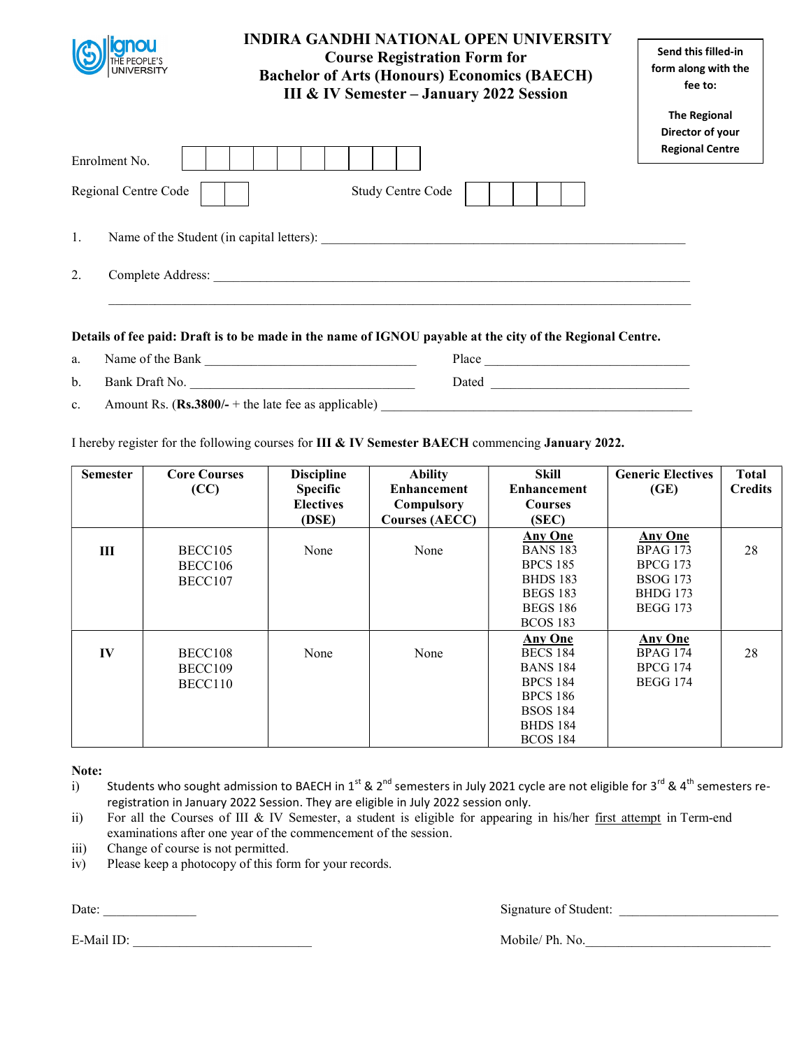|                      | <b>INDIRA GANDHI NATIONAL OPEN UNIVERSITY</b><br><b>Course Registration Form for</b><br><b>Bachelor of Arts (Honours) Economics (BAECH)</b><br>III & IV Semester - January 2022 Session                                        |                                                                   |
|----------------------|--------------------------------------------------------------------------------------------------------------------------------------------------------------------------------------------------------------------------------|-------------------------------------------------------------------|
| Enrolment No.        |                                                                                                                                                                                                                                | <b>The Regional</b><br>Director of your<br><b>Regional Centre</b> |
| Regional Centre Code | Study Centre Code                                                                                                                                                                                                              |                                                                   |
| 1.                   | Name of the Student (in capital letters):                                                                                                                                                                                      |                                                                   |
| 2.                   | Complete Address: No. 1996. The Second Second Second Second Second Second Second Second Second Second Second Second Second Second Second Second Second Second Second Second Second Second Second Second Second Second Second S |                                                                   |
|                      |                                                                                                                                                                                                                                |                                                                   |

- a. Name of the Bank \_\_\_\_\_\_\_\_\_\_\_\_\_\_\_\_\_\_\_\_\_\_\_\_\_\_\_\_\_\_\_\_ Place \_\_\_\_\_\_\_\_\_\_\_\_\_\_\_\_\_\_\_\_\_\_\_\_\_\_\_\_\_\_\_ b. Bank Draft No. \_\_\_\_\_\_\_\_\_\_\_\_\_\_\_\_\_\_\_\_\_\_\_\_\_\_\_\_\_\_\_\_\_\_ Dated \_\_\_\_\_\_\_\_\_\_\_\_\_\_\_\_\_\_\_\_\_\_\_\_\_\_\_\_\_\_
- c. Amount Rs.  $(Rs.3800/- +$  the late fee as applicable)

I hereby register for the following courses for III & IV Semester BAECH commencing January 2022.

| <b>Semester</b> | <b>Core Courses</b> | <b>Discipline</b> | <b>Ability</b>        | <b>Skill</b>       | <b>Generic Electives</b> | <b>Total</b>   |
|-----------------|---------------------|-------------------|-----------------------|--------------------|--------------------------|----------------|
|                 | (CC)                | <b>Specific</b>   | <b>Enhancement</b>    | <b>Enhancement</b> | (GE)                     | <b>Credits</b> |
|                 |                     | <b>Electives</b>  | Compulsory            | <b>Courses</b>     |                          |                |
|                 |                     | (DSE)             | <b>Courses (AECC)</b> | (SEC)              |                          |                |
|                 |                     |                   |                       | <b>Any One</b>     | <b>Any One</b>           |                |
| Ш               | BECC105             | None              | None                  | <b>BANS 183</b>    | <b>BPAG 173</b>          | 28             |
|                 | BECC106             |                   |                       | <b>BPCS 185</b>    | <b>BPCG 173</b>          |                |
|                 | BECC107             |                   |                       | <b>BHDS 183</b>    | <b>BSOG 173</b>          |                |
|                 |                     |                   |                       | <b>BEGS 183</b>    | <b>BHDG</b> 173          |                |
|                 |                     |                   |                       | <b>BEGS 186</b>    | <b>BEGG 173</b>          |                |
|                 |                     |                   |                       | <b>BCOS 183</b>    |                          |                |
|                 |                     |                   |                       | <b>Any One</b>     | <b>Any One</b>           |                |
| IV              | BECC108             | None              | None                  | <b>BECS 184</b>    | <b>BPAG 174</b>          | 28             |
|                 | BECC109             |                   |                       | <b>BANS 184</b>    | <b>BPCG 174</b>          |                |
|                 | BECC110             |                   |                       | <b>BPCS 184</b>    | <b>BEGG 174</b>          |                |
|                 |                     |                   |                       | <b>BPCS 186</b>    |                          |                |
|                 |                     |                   |                       | <b>BSOS 184</b>    |                          |                |
|                 |                     |                   |                       | <b>BHDS 184</b>    |                          |                |
|                 |                     |                   |                       | <b>BCOS 184</b>    |                          |                |

Note:

- i) Students who sought admission to BAECH in 1<sup>st</sup> & 2<sup>nd</sup> semesters in July 2021 cycle are not eligible for 3<sup>rd</sup> & 4<sup>th</sup> semesters reregistration in January 2022 Session. They are eligible in July 2022 session only.
- ii) For all the Courses of III & IV Semester, a student is eligible for appearing in his/her first attempt in Term-end examinations after one year of the commencement of the session.
- iii) Change of course is not permitted.
- iv) Please keep a photocopy of this form for your records.

E-Mail ID: \_\_\_\_\_\_\_\_\_\_\_\_\_\_\_\_\_\_\_\_\_\_\_\_\_\_\_ Mobile/ Ph. No.\_\_\_\_\_\_\_\_\_\_\_\_\_\_\_\_\_\_\_\_\_\_\_\_\_\_\_\_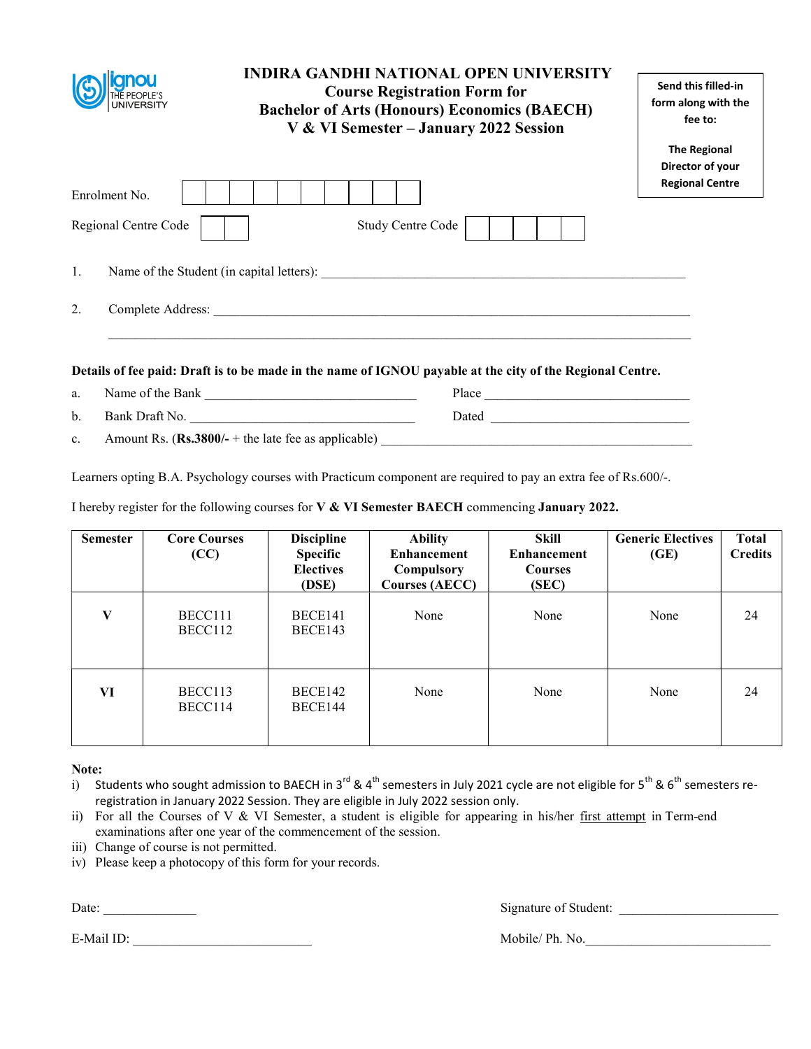|                      | <b>INDIRA GANDHI NATIONAL OPEN UNIVERSITY</b><br><b>Course Registration Form for</b><br><b>Bachelor of Arts (Honours) Economics (BAECH)</b><br>V & VI Semester - January 2022 Session | Send this filled-in<br>form along with the<br>fee to:             |
|----------------------|---------------------------------------------------------------------------------------------------------------------------------------------------------------------------------------|-------------------------------------------------------------------|
| Enrolment No.        |                                                                                                                                                                                       | <b>The Regional</b><br>Director of your<br><b>Regional Centre</b> |
| Regional Centre Code | Study Centre Code                                                                                                                                                                     |                                                                   |
| 1.                   |                                                                                                                                                                                       |                                                                   |
| 2.                   | Complete Address: <u>Complete Address:</u>                                                                                                                                            |                                                                   |
|                      | Details of fee paid: Draft is to be made in the name of IGNOU payable at the city of the Regional Centre.                                                                             |                                                                   |
| a.                   |                                                                                                                                                                                       |                                                                   |
| $\mathbf b$ .        | Bank Draft No.<br>Dated                                                                                                                                                               |                                                                   |

c. Amount Rs.  $(Rs.3800/- +$  the late fee as applicable)

Learners opting B.A. Psychology courses with Practicum component are required to pay an extra fee of Rs.600/-.

I hereby register for the following courses for V & VI Semester BAECH commencing January 2022.

| <b>Semester</b> | <b>Core Courses</b><br>(CC) | <b>Discipline</b><br><b>Specific</b><br><b>Electives</b><br>(DSE) | <b>Ability</b><br><b>Enhancement</b><br>Compulsory<br><b>Courses (AECC)</b> | Skill<br><b>Enhancement</b><br><b>Courses</b><br>(SEC) | <b>Generic Electives</b><br>(GE) | <b>Total</b><br><b>Credits</b> |
|-----------------|-----------------------------|-------------------------------------------------------------------|-----------------------------------------------------------------------------|--------------------------------------------------------|----------------------------------|--------------------------------|
| V               | BECC111<br>BECC112          | BECE141<br>BECE143                                                | None                                                                        | None                                                   | None                             | 24                             |
| VI              | BECC113<br>BECC114          | BECE142<br>BECE144                                                | None                                                                        | None                                                   | None                             | 24                             |

Note:

i) Students who sought admission to BAECH in 3<sup>rd</sup> & 4<sup>th</sup> semesters in July 2021 cycle are not eligible for 5<sup>th</sup> & 6<sup>th</sup> semesters reregistration in January 2022 Session. They are eligible in July 2022 session only.

- ii) For all the Courses of V & VI Semester, a student is eligible for appearing in his/her first attempt in Term-end examinations after one year of the commencement of the session.
- iii) Change of course is not permitted.
- iv) Please keep a photocopy of this form for your records.

Date: \_\_\_\_\_\_\_\_\_\_\_\_\_\_ Signature of Student: \_\_\_\_\_\_\_\_\_\_\_\_\_\_\_\_\_\_\_\_\_\_\_\_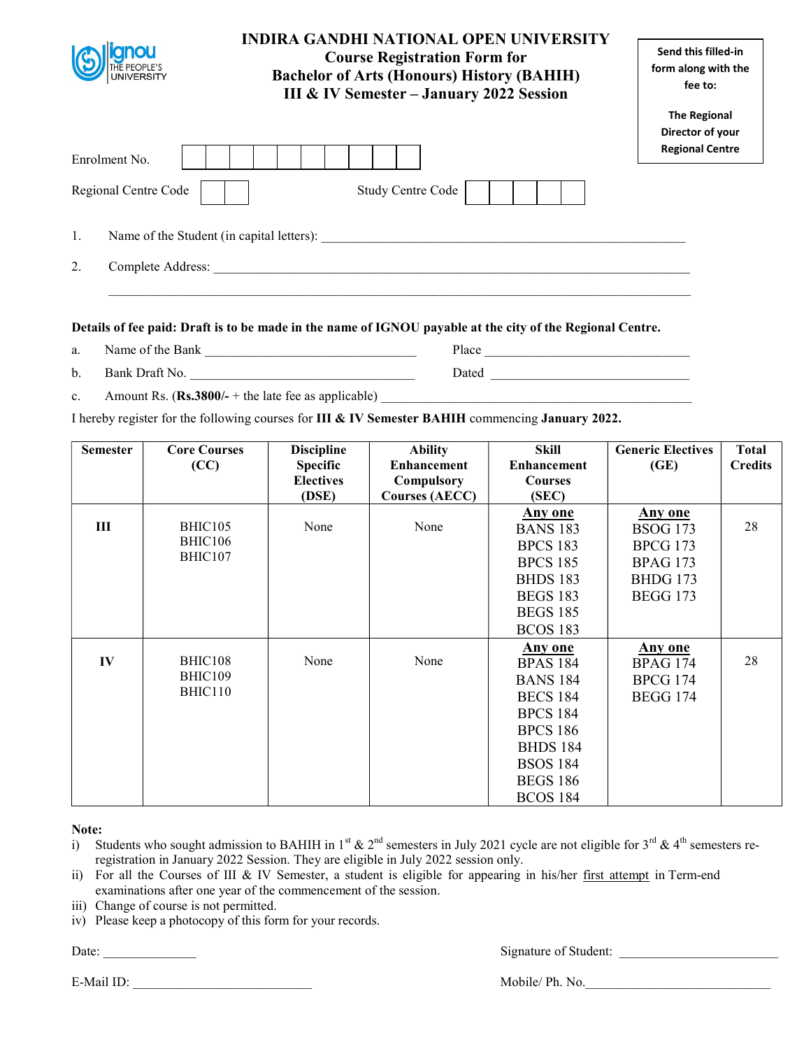| <b>INDIRA GANDHI NATIONAL OPEN UNIVERSITY</b><br><b>Course Registration Form for</b><br><b>Bachelor of Arts (Honours) History (BAHIH)</b><br><b>III &amp; IV Semester - January 2022 Session</b> |                          | Send this filled-in<br>form along with the<br>fee to:             |
|--------------------------------------------------------------------------------------------------------------------------------------------------------------------------------------------------|--------------------------|-------------------------------------------------------------------|
| Enrolment No.                                                                                                                                                                                    |                          | <b>The Regional</b><br>Director of your<br><b>Regional Centre</b> |
| Regional Centre Code                                                                                                                                                                             | <b>Study Centre Code</b> |                                                                   |
| 1.<br>Name of the Student (in capital letters):                                                                                                                                                  |                          |                                                                   |
| 2.<br>Complete Address:                                                                                                                                                                          |                          |                                                                   |

- 
- a. Name of the Bank  $\qquad \qquad$  Place  $\qquad \qquad$  Place  $\qquad \qquad$  Dated  $\qquad \qquad$  Dated  $\qquad \qquad$  Dated  $\qquad \qquad$  Dated  $\qquad \qquad$  Dated  $\qquad \qquad$  Dated  $\qquad \qquad$  Dated  $\qquad \qquad$  Dated  $\qquad \qquad$  Dated  $\qquad \qquad$  Dated  $\qquad \qquad$  Dated  $\qquad \q$ b. Bank Draft No. \_\_\_\_\_\_\_\_\_\_\_\_\_\_\_\_\_\_\_\_\_\_\_\_\_\_\_\_\_\_\_\_\_\_ Dated \_\_\_\_\_\_\_\_\_\_\_\_\_\_\_\_\_\_\_\_\_\_\_\_\_\_\_\_\_\_
- c. Amount Rs.  $(Rs.3800/- +$  the late fee as applicable)

I hereby register for the following courses for III & IV Semester BAHIH commencing January 2022.

| <b>Semester</b> | <b>Core Courses</b> | <b>Discipline</b> | <b>Ability</b>        | <b>Skill</b>       | <b>Generic Electives</b> | <b>Total</b>   |
|-----------------|---------------------|-------------------|-----------------------|--------------------|--------------------------|----------------|
|                 | (CC)                | <b>Specific</b>   | <b>Enhancement</b>    | <b>Enhancement</b> | (GE)                     | <b>Credits</b> |
|                 |                     | <b>Electives</b>  | Compulsory            | <b>Courses</b>     |                          |                |
|                 |                     | (DSE)             | <b>Courses (AECC)</b> | (SEC)              |                          |                |
|                 |                     |                   |                       | <b>Any one</b>     | <b>Any one</b>           |                |
| Ш               | BHIC105             | None              | None                  | <b>BANS 183</b>    | <b>BSOG</b> 173          | 28             |
|                 | BHIC106             |                   |                       | <b>BPCS 183</b>    | <b>BPCG 173</b>          |                |
|                 | BHIC107             |                   |                       | <b>BPCS 185</b>    | <b>BPAG 173</b>          |                |
|                 |                     |                   |                       | <b>BHDS 183</b>    | <b>BHDG 173</b>          |                |
|                 |                     |                   |                       | <b>BEGS 183</b>    | <b>BEGG 173</b>          |                |
|                 |                     |                   |                       | <b>BEGS 185</b>    |                          |                |
|                 |                     |                   |                       | <b>BCOS 183</b>    |                          |                |
|                 |                     |                   |                       | <b>Any one</b>     | <b>Any one</b>           |                |
| IV              | BHIC108             | None              | None                  | <b>BPAS 184</b>    | <b>BPAG 174</b>          | 28             |
|                 | BHIC109             |                   |                       | <b>BANS 184</b>    | <b>BPCG 174</b>          |                |
|                 | BHIC110             |                   |                       | <b>BECS 184</b>    | <b>BEGG 174</b>          |                |
|                 |                     |                   |                       | <b>BPCS 184</b>    |                          |                |
|                 |                     |                   |                       | <b>BPCS 186</b>    |                          |                |
|                 |                     |                   |                       | <b>BHDS 184</b>    |                          |                |
|                 |                     |                   |                       | <b>BSOS 184</b>    |                          |                |
|                 |                     |                   |                       | <b>BEGS 186</b>    |                          |                |
|                 |                     |                   |                       | <b>BCOS 184</b>    |                          |                |

Note:

- i) Students who sought admission to BAHIH in 1<sup>st</sup> & 2<sup>nd</sup> semesters in July 2021 cycle are not eligible for 3<sup>rd</sup> & 4<sup>th</sup> semesters reregistration in January 2022 Session. They are eligible in July 2022 session only.
- ii) For all the Courses of III & IV Semester, a student is eligible for appearing in his/her first attempt in Term-end examinations after one year of the commencement of the session.
- iii) Change of course is not permitted.
- iv) Please keep a photocopy of this form for your records.

Date: \_\_\_\_\_\_\_\_\_\_\_\_\_\_ Signature of Student: \_\_\_\_\_\_\_\_\_\_\_\_\_\_\_\_\_\_\_\_\_\_\_\_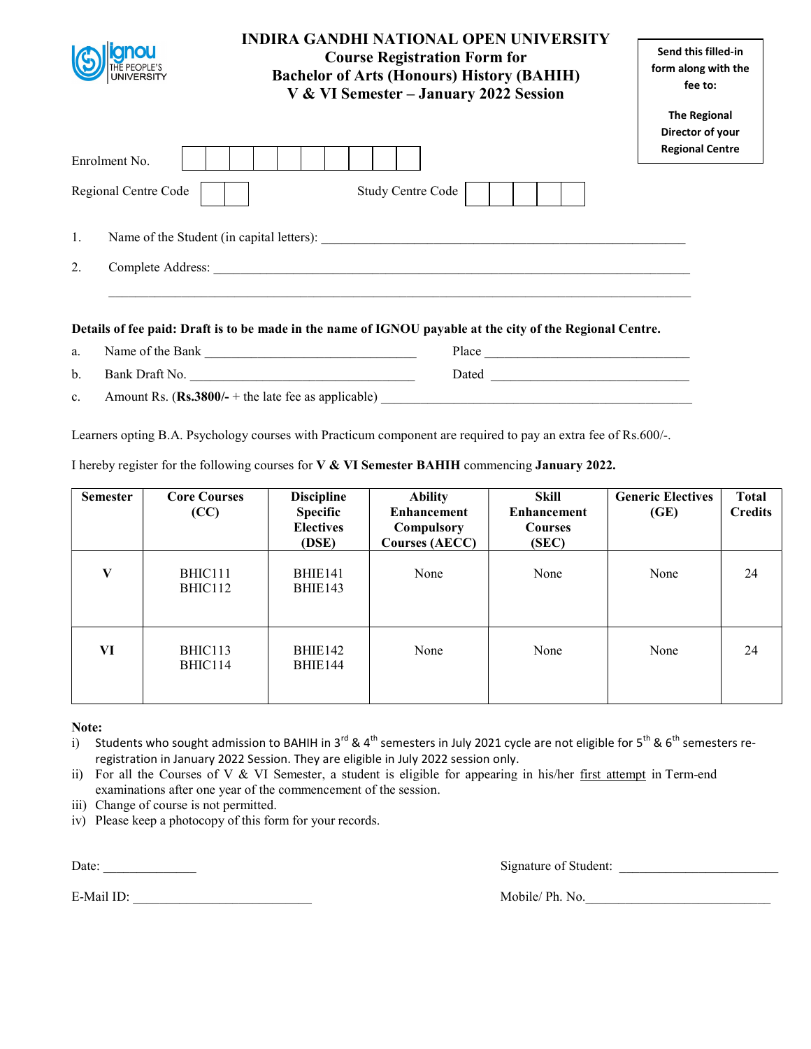|                         | <b>INDIRA GANDHI NATIONAL OPEN UNIVERSITY</b><br><b>Course Registration Form for</b><br><b>Bachelor of Arts (Honours) History (BAHIH)</b><br>V & VI Semester - January 2022 Session | Send this filled-in<br>form along with the<br>fee to: |
|-------------------------|-------------------------------------------------------------------------------------------------------------------------------------------------------------------------------------|-------------------------------------------------------|
|                         |                                                                                                                                                                                     | <b>The Regional</b>                                   |
|                         |                                                                                                                                                                                     | Director of your<br><b>Regional Centre</b>            |
| Enrolment No.           |                                                                                                                                                                                     |                                                       |
| Regional Centre Code    | <b>Study Centre Code</b>                                                                                                                                                            |                                                       |
| 1.                      | Name of the Student (in capital letters):                                                                                                                                           |                                                       |
| 2.<br>Complete Address: |                                                                                                                                                                                     |                                                       |
|                         |                                                                                                                                                                                     |                                                       |

a. Name of the Bank \_\_\_\_\_\_\_\_\_\_\_\_\_\_\_\_\_\_\_\_\_\_\_\_\_\_\_\_\_\_\_\_ Place \_\_\_\_\_\_\_\_\_\_\_\_\_\_\_\_\_\_\_\_\_\_\_\_\_\_\_\_\_\_\_ b. Bank Draft No. \_\_\_\_\_\_\_\_\_\_\_\_\_\_\_\_\_\_\_\_\_\_\_\_\_\_\_\_\_\_\_\_\_\_ Dated \_\_\_\_\_\_\_\_\_\_\_\_\_\_\_\_\_\_\_\_\_\_\_\_\_\_\_\_\_\_

c. Amount Rs.  $(Rs.3800/- +$  the late fee as applicable)

Learners opting B.A. Psychology courses with Practicum component are required to pay an extra fee of Rs.600/-.

I hereby register for the following courses for V & VI Semester BAHIH commencing January 2022.

| <b>Semester</b> | <b>Core Courses</b><br>(CC) | <b>Discipline</b><br><b>Specific</b><br><b>Electives</b><br>(DSE) | <b>Ability</b><br><b>Enhancement</b><br>Compulsory<br><b>Courses (AECC)</b> | Skill<br><b>Enhancement</b><br><b>Courses</b><br>(SEC) | <b>Generic Electives</b><br>(GE) | Total<br><b>Credits</b> |
|-----------------|-----------------------------|-------------------------------------------------------------------|-----------------------------------------------------------------------------|--------------------------------------------------------|----------------------------------|-------------------------|
| $\mathbf{V}$    | BHIC111<br>BHIC112          | BHIE141<br>BHIE143                                                | None                                                                        | None                                                   | None                             | 24                      |
| VI              | BHIC113<br>BHIC114          | BHIE142<br>BHIE144                                                | None                                                                        | None                                                   | None                             | 24                      |

# Note:

- i) Students who sought admission to BAHIH in 3<sup>rd</sup> & 4<sup>th</sup> semesters in July 2021 cycle are not eligible for 5<sup>th</sup> & 6<sup>th</sup> semesters reregistration in January 2022 Session. They are eligible in July 2022 session only.
- ii) For all the Courses of V & VI Semester, a student is eligible for appearing in his/her first attempt in Term-end examinations after one year of the commencement of the session.
- iii) Change of course is not permitted.
- iv) Please keep a photocopy of this form for your records.

Date: Signature of Student:

E-Mail ID: Nobile/ Ph. No.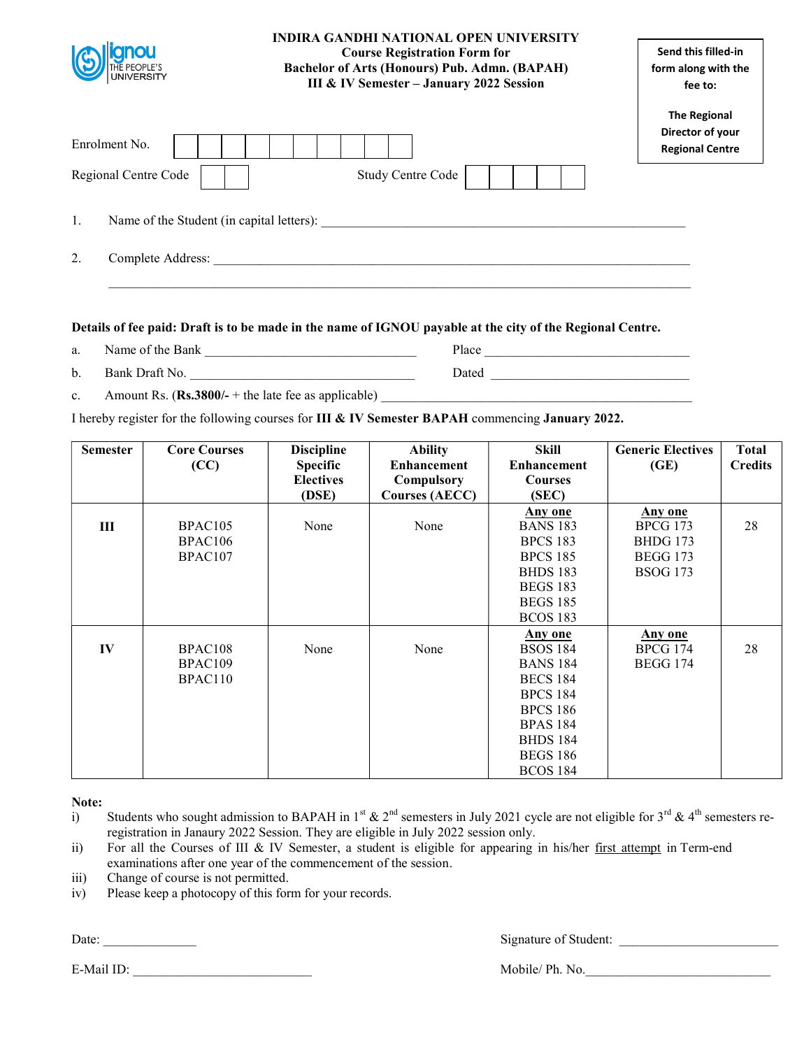| gnou<br><b>UNIVERSITY</b> | <b>INDIRA GANDHI NATIONAL OPEN UNIVERSITY</b><br><b>Course Registration Form for</b><br><b>Bachelor of Arts (Honours) Pub. Admn. (BAPAH)</b><br>III & IV Semester - January 2022 Session | Send this filled-in<br>form along with the<br>fee to:             |  |
|---------------------------|------------------------------------------------------------------------------------------------------------------------------------------------------------------------------------------|-------------------------------------------------------------------|--|
| Enrolment No.             |                                                                                                                                                                                          | <b>The Regional</b><br>Director of your<br><b>Regional Centre</b> |  |
| Regional Centre Code      | Study Centre Code                                                                                                                                                                        |                                                                   |  |
| 1.                        | Name of the Student (in capital letters):                                                                                                                                                |                                                                   |  |
| 2.<br>Complete Address:   |                                                                                                                                                                                          |                                                                   |  |

- a. Name of the Bank **Departuments** Place
- b. Bank Draft No. \_\_\_\_\_\_\_\_\_\_\_\_\_\_\_\_\_\_\_\_\_\_\_\_\_\_\_\_\_\_\_\_\_\_ Dated \_\_\_\_\_\_\_\_\_\_\_\_\_\_\_\_\_\_\_\_\_\_\_\_\_\_\_\_\_\_
- c. Amount Rs.  $(Rs.3800/- +$  the late fee as applicable)

I hereby register for the following courses for III & IV Semester BAPAH commencing January 2022.

| <b>Semester</b> | <b>Core Courses</b><br>(CC) | <b>Discipline</b><br><b>Specific</b><br><b>Electives</b><br>(DSE) | <b>Ability</b><br><b>Enhancement</b><br>Compulsory<br><b>Courses (AECC)</b> | <b>Skill</b><br><b>Enhancement</b><br><b>Courses</b><br>(SEC) | <b>Generic Electives</b><br>(GE) | <b>Total</b><br><b>Credits</b> |
|-----------------|-----------------------------|-------------------------------------------------------------------|-----------------------------------------------------------------------------|---------------------------------------------------------------|----------------------------------|--------------------------------|
|                 |                             |                                                                   |                                                                             | Any one                                                       | Any one                          |                                |
| $\mathbf{I}$    | BPAC <sub>105</sub>         | None                                                              | None                                                                        | <b>BANS 183</b>                                               | <b>BPCG 173</b>                  | 28                             |
|                 | BPAC106                     |                                                                   |                                                                             | <b>BPCS 183</b>                                               | <b>BHDG 173</b>                  |                                |
|                 | BPAC <sub>107</sub>         |                                                                   |                                                                             | <b>BPCS 185</b>                                               | <b>BEGG 173</b>                  |                                |
|                 |                             |                                                                   |                                                                             | <b>BHDS 183</b>                                               | <b>BSOG 173</b>                  |                                |
|                 |                             |                                                                   |                                                                             | <b>BEGS 183</b>                                               |                                  |                                |
|                 |                             |                                                                   |                                                                             | <b>BEGS 185</b>                                               |                                  |                                |
|                 |                             |                                                                   |                                                                             | <b>BCOS 183</b>                                               |                                  |                                |
|                 |                             |                                                                   |                                                                             | Any one                                                       | Any one                          |                                |
| IV              | BPAC <sub>108</sub>         | None                                                              | None                                                                        | <b>BSOS 184</b>                                               | <b>BPCG 174</b>                  | 28                             |
|                 | BPAC109                     |                                                                   |                                                                             | <b>BANS 184</b>                                               | <b>BEGG 174</b>                  |                                |
|                 | BPAC110                     |                                                                   |                                                                             | <b>BECS 184</b>                                               |                                  |                                |
|                 |                             |                                                                   |                                                                             | <b>BPCS 184</b>                                               |                                  |                                |
|                 |                             |                                                                   |                                                                             | <b>BPCS 186</b>                                               |                                  |                                |
|                 |                             |                                                                   |                                                                             | <b>BPAS 184</b>                                               |                                  |                                |
|                 |                             |                                                                   |                                                                             | <b>BHDS 184</b>                                               |                                  |                                |
|                 |                             |                                                                   |                                                                             | <b>BEGS 186</b>                                               |                                  |                                |
|                 |                             |                                                                   |                                                                             | <b>BCOS 184</b>                                               |                                  |                                |

Note:

- i) Students who sought admission to BAPAH in 1<sup>st</sup> & 2<sup>nd</sup> semesters in July 2021 cycle are not eligible for 3<sup>rd</sup> & 4<sup>th</sup> semesters reregistration in Janaury 2022 Session. They are eligible in July 2022 session only.
- ii) For all the Courses of III & IV Semester, a student is eligible for appearing in his/her first attempt in Term-end examinations after one year of the commencement of the session.
- iii) Change of course is not permitted.
- iv) Please keep a photocopy of this form for your records.

Date: \_\_\_\_\_\_\_\_\_\_\_\_\_\_ Signature of Student: \_\_\_\_\_\_\_\_\_\_\_\_\_\_\_\_\_\_\_\_\_\_\_\_

E-Mail ID: Nobile/ Ph. No.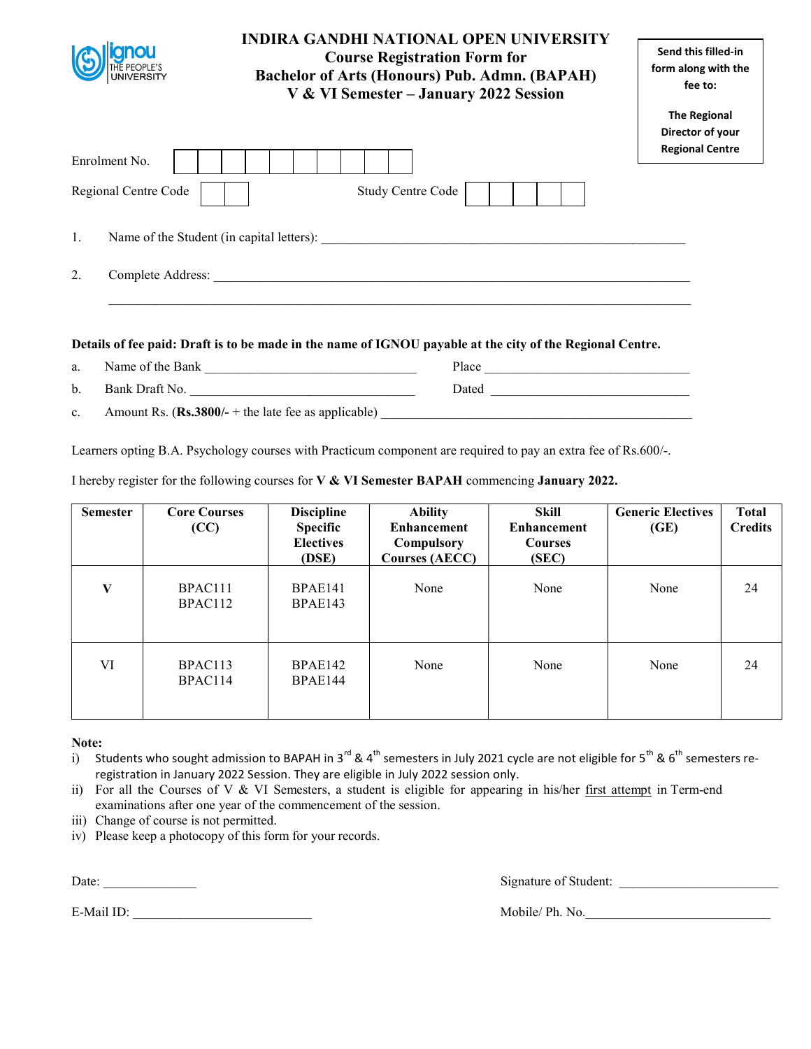|                                                 | <b>INDIRA GANDHI NATIONAL OPEN UNIVERSITY</b><br><b>Course Registration Form for</b><br><b>Bachelor of Arts (Honours) Pub. Admn. (BAPAH)</b><br>V & VI Semester - January 2022 Session | Send this filled-in<br>form along with the<br>fee to:             |
|-------------------------------------------------|----------------------------------------------------------------------------------------------------------------------------------------------------------------------------------------|-------------------------------------------------------------------|
| Enrolment No.                                   |                                                                                                                                                                                        | <b>The Regional</b><br>Director of your<br><b>Regional Centre</b> |
| Regional Centre Code                            | <b>Study Centre Code</b>                                                                                                                                                               |                                                                   |
| Name of the Student (in capital letters):<br>1. |                                                                                                                                                                                        |                                                                   |
| 2.<br>Complete Address:                         |                                                                                                                                                                                        |                                                                   |
|                                                 | Details of fee paid: Draft is to be made in the name of IGNOU payable at the city of the Regional Centre.                                                                              |                                                                   |

a. Name of the Bank \_\_\_\_\_\_\_\_\_\_\_\_\_\_\_\_\_\_\_\_\_\_\_\_\_\_\_\_\_\_\_\_ Place \_\_\_\_\_\_\_\_\_\_\_\_\_\_\_\_\_\_\_\_\_\_\_\_\_\_\_\_\_\_\_ b. Bank Draft No. 2008 2014 2014 2022 2023 2024 2024 2022 2023 2024 2022 2023 2024 2022 2023 2024 2025 2027 20

c. Amount Rs.  $(Rs.3800/- +$  the late fee as applicable)

Learners opting B.A. Psychology courses with Practicum component are required to pay an extra fee of Rs.600/-.

I hereby register for the following courses for V & VI Semester BAPAH commencing January 2022.

| <b>Semester</b> | <b>Core Courses</b><br>(CC) | <b>Discipline</b><br>Specific<br><b>Electives</b><br>(DSE) | <b>Ability</b><br><b>Enhancement</b><br>Compulsory<br><b>Courses (AECC)</b> | Skill<br><b>Enhancement</b><br><b>Courses</b><br>(SEC) | <b>Generic Electives</b><br>(GE) | <b>Total</b><br><b>Credits</b> |
|-----------------|-----------------------------|------------------------------------------------------------|-----------------------------------------------------------------------------|--------------------------------------------------------|----------------------------------|--------------------------------|
| V               | BPAC111<br>BPAC112          | <b>BPAE141</b><br>BPAE143                                  | None                                                                        | None                                                   | None                             | 24                             |
| VI              | BPAC113<br>BPAC114          | BPAE142<br>BPAE144                                         | None                                                                        | None                                                   | None                             | 24                             |

Note:

i) Students who sought admission to BAPAH in 3<sup>rd</sup> & 4<sup>th</sup> semesters in July 2021 cycle are not eligible for 5<sup>th</sup> & 6<sup>th</sup> semesters reregistration in January 2022 Session. They are eligible in July 2022 session only.

ii) For all the Courses of V & VI Semesters, a student is eligible for appearing in his/her first attempt in Term-end examinations after one year of the commencement of the session.

- iii) Change of course is not permitted.
- iv) Please keep a photocopy of this form for your records.

Date: \_\_\_\_\_\_\_\_\_\_\_\_\_\_ Signature of Student: \_\_\_\_\_\_\_\_\_\_\_\_\_\_\_\_\_\_\_\_\_\_\_\_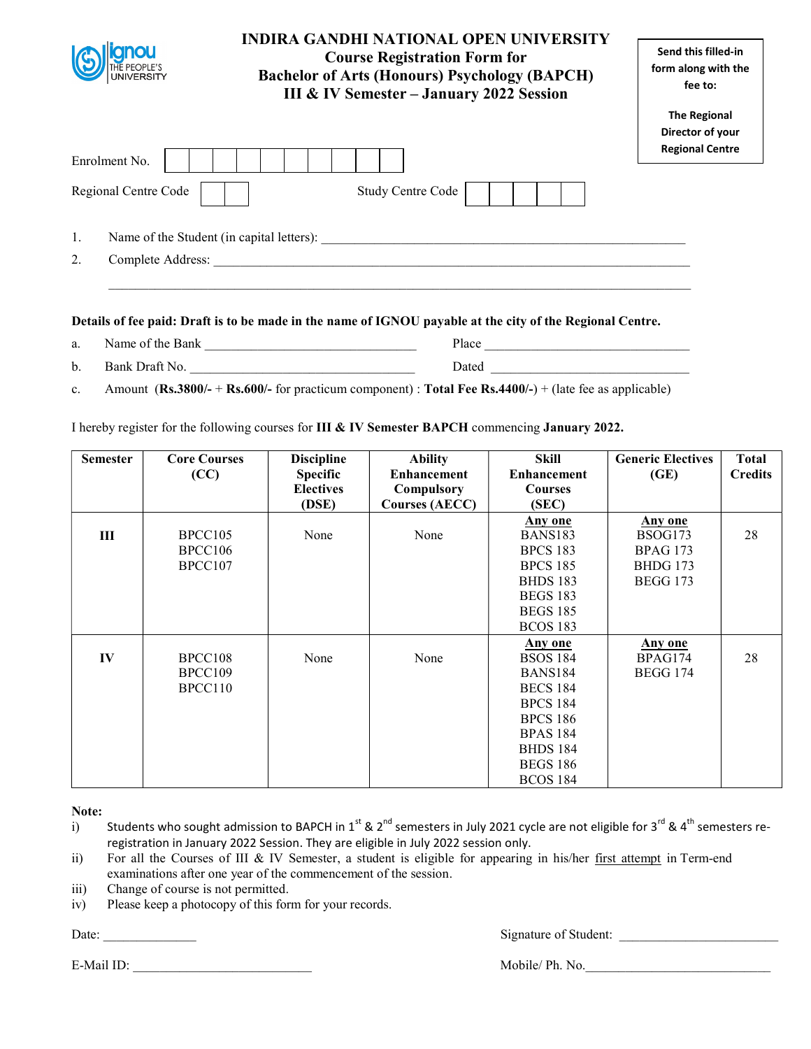| <b>UNIVERSITY</b>       | INDIRA GANDHI NATIONAL OPEN UNIVERSITY<br><b>Course Registration Form for</b><br><b>Bachelor of Arts (Honours) Psychology (BAPCH)</b><br><b>III &amp; IV Semester - January 2022 Session</b> | Send this filled-in<br>form along with the<br>fee to: |
|-------------------------|----------------------------------------------------------------------------------------------------------------------------------------------------------------------------------------------|-------------------------------------------------------|
|                         |                                                                                                                                                                                              | <b>The Regional</b><br>Director of your               |
| Enrolment No.           |                                                                                                                                                                                              | <b>Regional Centre</b>                                |
| Regional Centre Code    | <b>Study Centre Code</b>                                                                                                                                                                     |                                                       |
| 1.                      | Name of the Student (in capital letters):                                                                                                                                                    |                                                       |
| 2.<br>Complete Address: |                                                                                                                                                                                              |                                                       |
|                         |                                                                                                                                                                                              |                                                       |

| a. | Name of the Bank | Place        |
|----|------------------|--------------|
| b. | Bank Draft No.   | <b>Dated</b> |

c. Amount ( $\text{Rs.3800/-} + \text{Rs.600/-}$  for practicum component) : Total Fee Rs.4400/-) + (late fee as applicable)

I hereby register for the following courses for III & IV Semester BAPCH commencing January 2022.

| <b>Semester</b> | <b>Core Courses</b><br>(CC)   | <b>Discipline</b><br><b>Specific</b><br><b>Electives</b><br>(DSE) | <b>Ability</b><br><b>Enhancement</b><br>Compulsory<br><b>Courses (AECC)</b> | <b>Skill</b><br><b>Enhancement</b><br><b>Courses</b><br>(SEC)                                                                                                                     | <b>Generic Electives</b><br>(GE)                                                   | <b>Total</b><br><b>Credits</b> |
|-----------------|-------------------------------|-------------------------------------------------------------------|-----------------------------------------------------------------------------|-----------------------------------------------------------------------------------------------------------------------------------------------------------------------------------|------------------------------------------------------------------------------------|--------------------------------|
| III             | BPCC105<br>BPCC106<br>BPCC107 | None                                                              | None                                                                        | <b>Any one</b><br><b>BANS183</b><br><b>BPCS 183</b><br><b>BPCS 185</b><br><b>BHDS</b> 183<br><b>BEGS 183</b>                                                                      | <b>Any one</b><br>BSOG173<br><b>BPAG 173</b><br><b>BHDG</b> 173<br><b>BEGG 173</b> | 28                             |
|                 |                               |                                                                   |                                                                             | <b>BEGS 185</b><br><b>BCOS 183</b>                                                                                                                                                |                                                                                    |                                |
| IV              | BPCC108<br>BPCC109<br>BPCC110 | None                                                              | None                                                                        | Any one<br><b>BSOS 184</b><br><b>BANS184</b><br><b>BECS 184</b><br><b>BPCS 184</b><br><b>BPCS 186</b><br><b>BPAS 184</b><br><b>BHDS 184</b><br><b>BEGS 186</b><br><b>BCOS 184</b> | <b>Any one</b><br>BPAG174<br><b>BEGG 174</b>                                       | 28                             |

Note:

- i) Students who sought admission to BAPCH in 1<sup>st</sup> & 2<sup>nd</sup> semesters in July 2021 cycle are not eligible for 3<sup>rd</sup> & 4<sup>th</sup> semesters reregistration in January 2022 Session. They are eligible in July 2022 session only.
- ii) For all the Courses of III & IV Semester, a student is eligible for appearing in his/her first attempt in Term-end examinations after one year of the commencement of the session.
- iii) Change of course is not permitted.
- iv) Please keep a photocopy of this form for your records.

Date: \_\_\_\_\_\_\_\_\_\_\_\_\_\_ Signature of Student: \_\_\_\_\_\_\_\_\_\_\_\_\_\_\_\_\_\_\_\_\_\_\_\_

E-Mail ID: Nobile/ Ph. No.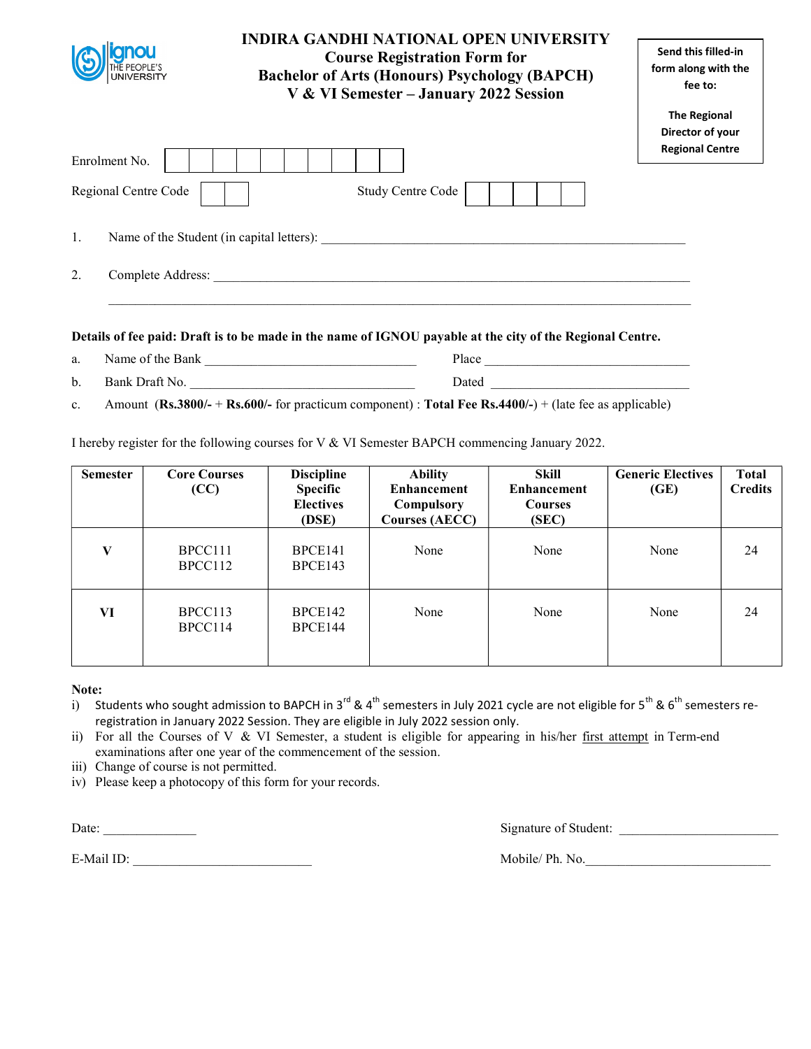|                                                                            | <b>INDIRA GANDHI NATIONAL OPEN UNIVERSITY</b><br><b>Course Registration Form for</b><br><b>Bachelor of Arts (Honours) Psychology (BAPCH)</b><br>V & VI Semester - January 2022 Session | Send this filled-in<br>form along with the<br>fee to:             |  |
|----------------------------------------------------------------------------|----------------------------------------------------------------------------------------------------------------------------------------------------------------------------------------|-------------------------------------------------------------------|--|
| Enrolment No.                                                              |                                                                                                                                                                                        | <b>The Regional</b><br>Director of your<br><b>Regional Centre</b> |  |
| Regional Centre Code                                                       | <b>Study Centre Code</b>                                                                                                                                                               |                                                                   |  |
| 1.<br>Name of the Student (in capital letters):<br>2.<br>Complete Address: |                                                                                                                                                                                        |                                                                   |  |
|                                                                            |                                                                                                                                                                                        |                                                                   |  |

a. Name of the Bank \_\_\_\_\_\_\_\_\_\_\_\_\_\_\_\_\_\_\_\_\_\_\_\_\_\_\_\_\_\_\_\_ Place \_\_\_\_\_\_\_\_\_\_\_\_\_\_\_\_\_\_\_\_\_\_\_\_\_\_\_\_\_\_\_ b. Bank Draft No. \_\_\_\_\_\_\_\_\_\_\_\_\_\_\_\_\_\_\_\_\_\_\_\_\_\_\_\_\_\_\_\_\_\_ Dated \_\_\_\_\_\_\_\_\_\_\_\_\_\_\_\_\_\_\_\_\_\_\_\_\_\_\_\_\_\_

c. Amount  $(Rs.3800/- + Rs.600/-$  for practicum component) : Total Fee Rs.4400/-) + (late fee as applicable)

I hereby register for the following courses for V & VI Semester BAPCH commencing January 2022.

| <b>Semester</b> | <b>Core Courses</b><br>(CC) | <b>Discipline</b><br><b>Specific</b><br><b>Electives</b><br>(DSE) | <b>Ability</b><br><b>Enhancement</b><br>Compulsory<br><b>Courses (AECC)</b> | Skill<br><b>Enhancement</b><br><b>Courses</b><br>(SEC) | <b>Generic Electives</b><br>(GE) | Total<br><b>Credits</b> |
|-----------------|-----------------------------|-------------------------------------------------------------------|-----------------------------------------------------------------------------|--------------------------------------------------------|----------------------------------|-------------------------|
| V               | BPCC111<br>BPCC112          | BPCE141<br>BPCE143                                                | None                                                                        | None                                                   | None                             | 24                      |
| VI              | BPCC113<br>BPCC114          | BPCE142<br>BPCE144                                                | None                                                                        | None                                                   | None                             | 24                      |

## Note:

i) Students who sought admission to BAPCH in 3<sup>rd</sup> & 4<sup>th</sup> semesters in July 2021 cycle are not eligible for 5<sup>th</sup> & 6<sup>th</sup> semesters reregistration in January 2022 Session. They are eligible in July 2022 session only.

ii) For all the Courses of V & VI Semester, a student is eligible for appearing in his/her first attempt in Term-end examinations after one year of the commencement of the session.

iii) Change of course is not permitted.

iv) Please keep a photocopy of this form for your records.

Date: \_\_\_\_\_\_\_\_\_\_\_\_\_\_ Signature of Student: \_\_\_\_\_\_\_\_\_\_\_\_\_\_\_\_\_\_\_\_\_\_\_\_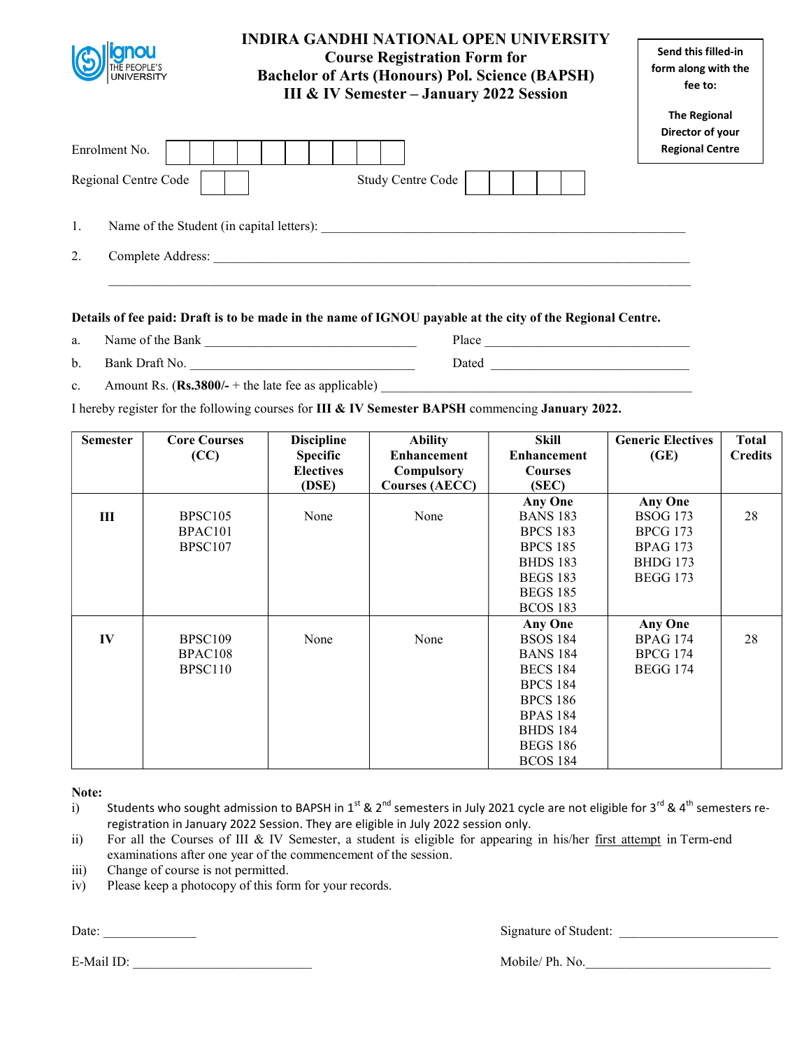|    | <b>INDIRA GANDHI NATIONAL OPEN UNIVERSITY</b><br><b>Course Registration Form for</b><br><b>Bachelor of Arts (Honours) Pol. Science (BAPSH)</b><br>III & IV Semester - January 2022 Session | Send this filled-in<br>form along with the<br>fee to:             |
|----|--------------------------------------------------------------------------------------------------------------------------------------------------------------------------------------------|-------------------------------------------------------------------|
|    | Enrolment No.                                                                                                                                                                              | <b>The Regional</b><br>Director of your<br><b>Regional Centre</b> |
|    | <b>Study Centre Code</b><br>Regional Centre Code                                                                                                                                           |                                                                   |
| 1. | Name of the Student (in capital letters):                                                                                                                                                  |                                                                   |
| 2. | Complete Address:                                                                                                                                                                          |                                                                   |

- a. Name of the Bank \_\_\_\_\_\_\_\_\_\_\_\_\_\_\_\_\_\_\_\_\_\_\_\_\_\_\_\_\_\_\_\_ Place \_\_\_\_\_\_\_\_\_\_\_\_\_\_\_\_\_\_\_\_\_\_\_\_\_\_\_\_\_\_\_
- b. Bank Draft No. \_\_\_\_\_\_\_\_\_\_\_\_\_\_\_\_\_\_\_\_\_\_\_\_\_\_\_\_\_\_\_\_\_\_ Dated \_\_\_\_\_\_\_\_\_\_\_\_\_\_\_\_\_\_\_\_\_\_\_\_\_\_\_\_\_\_
- c. Amount Rs.  $(Rs.3800/- +$  the late fee as applicable)

I hereby register for the following courses for III & IV Semester BAPSH commencing January 2022.

| <b>Semester</b> | <b>Core Courses</b> | <b>Discipline</b> | <b>Ability</b>        | <b>Skill</b>       | <b>Generic Electives</b> | <b>Total</b>   |
|-----------------|---------------------|-------------------|-----------------------|--------------------|--------------------------|----------------|
|                 | (CC)                | <b>Specific</b>   | <b>Enhancement</b>    | <b>Enhancement</b> | (GE)                     | <b>Credits</b> |
|                 |                     | <b>Electives</b>  | Compulsory            | <b>Courses</b>     |                          |                |
|                 |                     | (DSE)             | <b>Courses (AECC)</b> | (SEC)              |                          |                |
|                 |                     |                   |                       | <b>Any One</b>     | <b>Any One</b>           |                |
| Ш               | BPSC <sub>105</sub> | None              | None                  | <b>BANS 183</b>    | <b>BSOG 173</b>          | 28             |
|                 | BPAC <sub>101</sub> |                   |                       | <b>BPCS 183</b>    | <b>BPCG 173</b>          |                |
|                 | BPSC <sub>107</sub> |                   |                       | <b>BPCS 185</b>    | <b>BPAG 173</b>          |                |
|                 |                     |                   |                       | <b>BHDS 183</b>    | <b>BHDG</b> 173          |                |
|                 |                     |                   |                       | <b>BEGS 183</b>    | <b>BEGG 173</b>          |                |
|                 |                     |                   |                       | <b>BEGS 185</b>    |                          |                |
|                 |                     |                   |                       | <b>BCOS 183</b>    |                          |                |
|                 |                     |                   |                       | <b>Any One</b>     | <b>Any One</b>           |                |
| IV              | BPSC109             | None              | None                  | <b>BSOS 184</b>    | <b>BPAG 174</b>          | 28             |
|                 | BPAC108             |                   |                       | <b>BANS 184</b>    | <b>BPCG 174</b>          |                |
|                 | BPSC110             |                   |                       | <b>BECS 184</b>    | <b>BEGG 174</b>          |                |
|                 |                     |                   |                       | <b>BPCS 184</b>    |                          |                |
|                 |                     |                   |                       | <b>BPCS 186</b>    |                          |                |
|                 |                     |                   |                       | <b>BPAS 184</b>    |                          |                |
|                 |                     |                   |                       | <b>BHDS 184</b>    |                          |                |
|                 |                     |                   |                       | <b>BEGS 186</b>    |                          |                |
|                 |                     |                   |                       | <b>BCOS 184</b>    |                          |                |

#### Note:

- i) Students who sought admission to BAPSH in 1<sup>st</sup> & 2<sup>nd</sup> semesters in July 2021 cycle are not eligible for 3<sup>rd</sup> & 4<sup>th</sup> semesters reregistration in January 2022 Session. They are eligible in July 2022 session only.
- ii) For all the Courses of III & IV Semester, a student is eligible for appearing in his/her first attempt in Term-end examinations after one year of the commencement of the session.
- iii) Change of course is not permitted.
- iv) Please keep a photocopy of this form for your records.

Date: \_\_\_\_\_\_\_\_\_\_\_\_\_\_ Signature of Student: \_\_\_\_\_\_\_\_\_\_\_\_\_\_\_\_\_\_\_\_\_\_\_\_

E-Mail ID: The Mobile/ Ph. No.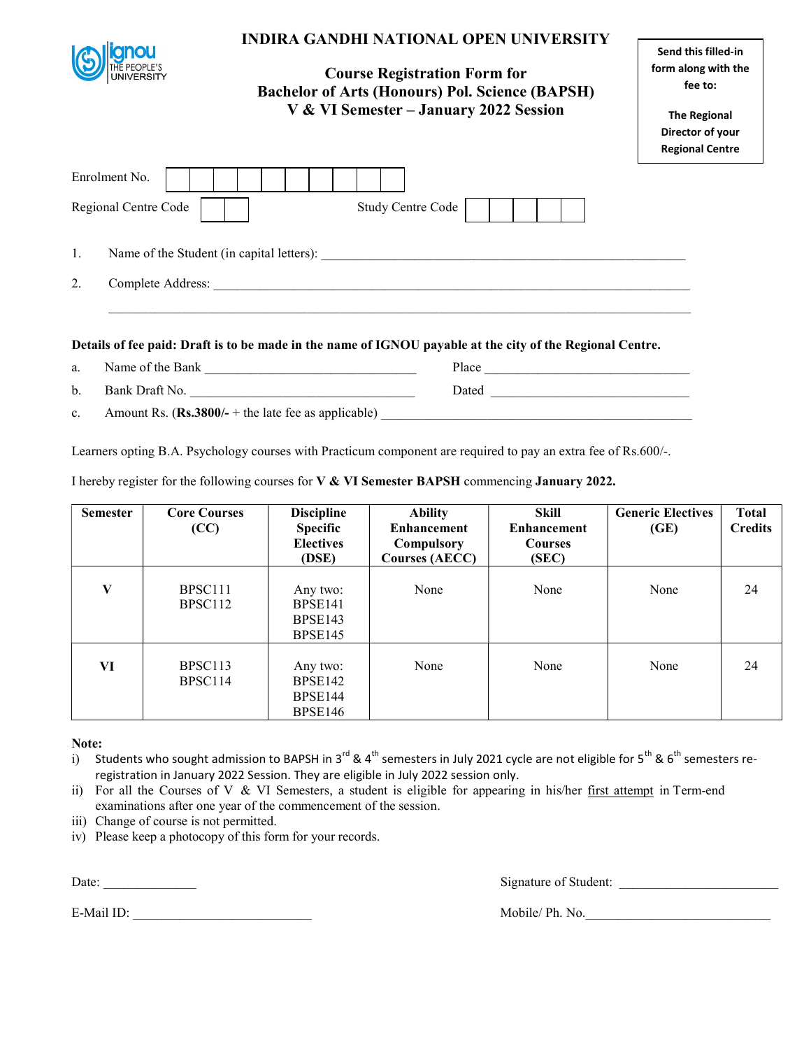|                                       |                                                                                                                |                               | <b>INDIRA GANDHI NATIONAL OPEN UNIVERSITY</b><br><b>Course Registration Form for</b><br><b>Bachelor of Arts (Honours) Pol. Science (BAPSH)</b><br>V & VI Semester - January 2022 Session |                                    | Send this filled-in<br>form along with the<br>fee to:<br><b>The Regional</b><br>Director of your<br><b>Regional Centre</b> |                                |
|---------------------------------------|----------------------------------------------------------------------------------------------------------------|-------------------------------|------------------------------------------------------------------------------------------------------------------------------------------------------------------------------------------|------------------------------------|----------------------------------------------------------------------------------------------------------------------------|--------------------------------|
| Enrolment No.<br>Regional Centre Code |                                                                                                                |                               | <b>Study Centre Code</b>                                                                                                                                                                 |                                    |                                                                                                                            |                                |
| 1.                                    |                                                                                                                |                               |                                                                                                                                                                                          |                                    |                                                                                                                            |                                |
| 2.                                    |                                                                                                                |                               |                                                                                                                                                                                          |                                    |                                                                                                                            |                                |
|                                       | Details of fee paid: Draft is to be made in the name of IGNOU payable at the city of the Regional Centre.      |                               |                                                                                                                                                                                          |                                    |                                                                                                                            |                                |
| a.                                    |                                                                                                                |                               |                                                                                                                                                                                          |                                    |                                                                                                                            |                                |
| b.                                    | Bank Draft No.                                                                                                 |                               |                                                                                                                                                                                          |                                    |                                                                                                                            |                                |
| $\mathbf{c}$ .                        |                                                                                                                |                               |                                                                                                                                                                                          |                                    |                                                                                                                            |                                |
|                                       | Learners opting B.A. Psychology courses with Practicum component are required to pay an extra fee of Rs.600/-. |                               |                                                                                                                                                                                          |                                    |                                                                                                                            |                                |
|                                       | I hereby register for the following courses for $V & V$ Semester BAPSH commencing January 2022.                |                               |                                                                                                                                                                                          |                                    |                                                                                                                            |                                |
| <b>Semester</b>                       | <b>Core Courses</b><br>(CC)                                                                                    | <b>Discipline</b><br>Specific | <b>Ability</b><br><b>Enhancement</b>                                                                                                                                                     | <b>Skill</b><br><b>Enhancement</b> | <b>Generic Electives</b><br>(GE)                                                                                           | <b>Total</b><br><b>Credits</b> |

|    | (CC)                                       | ---------<br><b>Specific</b><br><b>Electives</b><br>(DSE) | $- - - - - -$<br><b>Enhancement</b><br>Compulsory<br><b>Courses (AECC)</b> | <b>Enhancement</b><br><b>Courses</b><br>(SEC) | (GE) | <b>Credits</b> |
|----|--------------------------------------------|-----------------------------------------------------------|----------------------------------------------------------------------------|-----------------------------------------------|------|----------------|
| V  | BPSC <sub>111</sub><br>BPSC <sub>112</sub> | Any two:<br>BPSE <sub>141</sub><br>BPSE143<br>BPSE145     | None                                                                       | None                                          | None | 24             |
| VI | BPSC113<br>BPSC <sub>114</sub>             | Any two:<br>BPSE <sub>142</sub><br>BPSE144<br>BPSE146     | None                                                                       | None                                          | None | 24             |

Note:

i) Students who sought admission to BAPSH in 3<sup>rd</sup> & 4<sup>th</sup> semesters in July 2021 cycle are not eligible for 5<sup>th</sup> & 6<sup>th</sup> semesters reregistration in January 2022 Session. They are eligible in July 2022 session only.

ii) For all the Courses of V & VI Semesters, a student is eligible for appearing in his/her first attempt in Term-end examinations after one year of the commencement of the session.

iii) Change of course is not permitted.

iv) Please keep a photocopy of this form for your records.

Date: Signature of Student: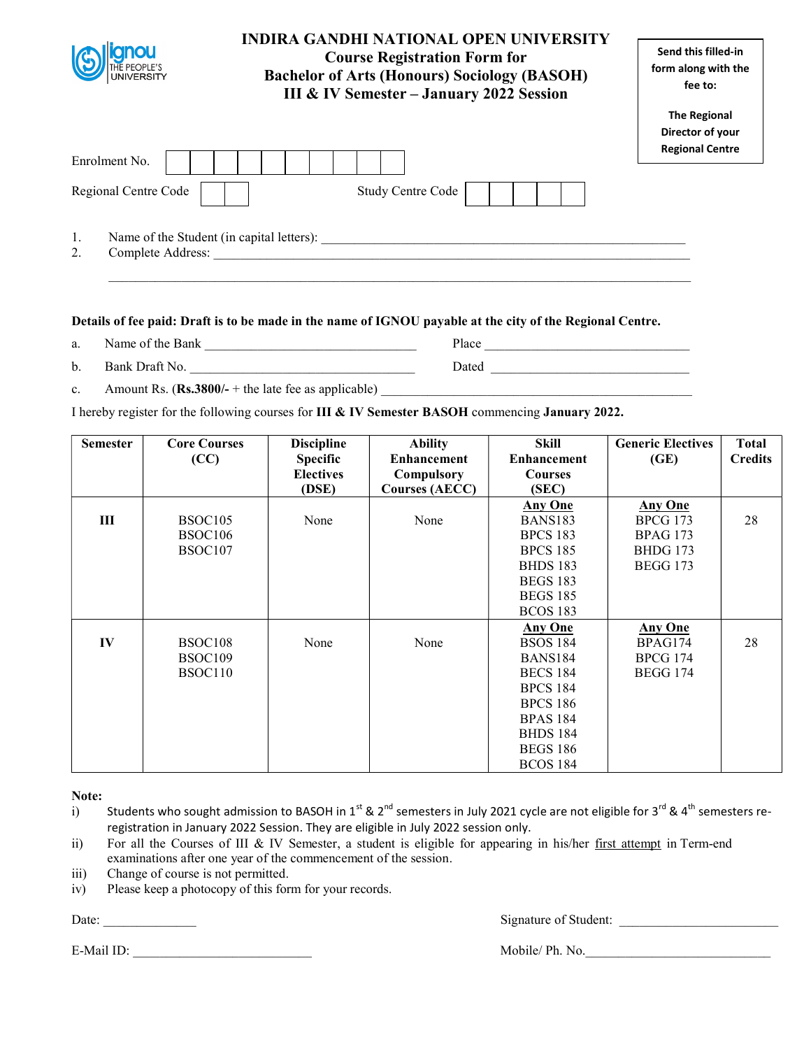| anou<br>THE PEOPLE'S<br><b>UNIVERSITY</b>                                  | INDIRA GANDHI NATIONAL OPEN UNIVERSITY<br><b>Course Registration Form for</b><br><b>Bachelor of Arts (Honours) Sociology (BASOH)</b><br>III & IV Semester - January 2022 Session | Send this filled-in<br>form along with the<br>fee to:             |
|----------------------------------------------------------------------------|----------------------------------------------------------------------------------------------------------------------------------------------------------------------------------|-------------------------------------------------------------------|
| Enrolment No.<br>Regional Centre Code                                      | <b>Study Centre Code</b>                                                                                                                                                         | <b>The Regional</b><br>Director of your<br><b>Regional Centre</b> |
| 1.<br>Name of the Student (in capital letters):<br>Complete Address:<br>2. |                                                                                                                                                                                  |                                                                   |

 $\mathcal{L}_\mathcal{L} = \mathcal{L}_\mathcal{L} = \mathcal{L}_\mathcal{L} = \mathcal{L}_\mathcal{L} = \mathcal{L}_\mathcal{L} = \mathcal{L}_\mathcal{L} = \mathcal{L}_\mathcal{L} = \mathcal{L}_\mathcal{L} = \mathcal{L}_\mathcal{L} = \mathcal{L}_\mathcal{L} = \mathcal{L}_\mathcal{L} = \mathcal{L}_\mathcal{L} = \mathcal{L}_\mathcal{L} = \mathcal{L}_\mathcal{L} = \mathcal{L}_\mathcal{L} = \mathcal{L}_\mathcal{L} = \mathcal{L}_\mathcal{L}$ 

### Details of fee paid: Draft is to be made in the name of IGNOU payable at the city of the Regional Centre.

- a. Name of the Bank Place
- b. Bank Draft No. \_\_\_\_\_\_\_\_\_\_\_\_\_\_\_\_\_\_\_\_\_\_\_\_\_\_\_\_\_\_\_\_\_\_ Dated \_\_\_\_\_\_\_\_\_\_\_\_\_\_\_\_\_\_\_\_\_\_\_\_\_\_\_\_\_\_

c. Amount Rs.  $(Rs.3800/- +$  the late fee as applicable)

I hereby register for the following courses for III & IV Semester BASOH commencing January 2022.

| <b>Semester</b> | <b>Core Courses</b> | <b>Discipline</b> | <b>Ability</b>        | <b>Skill</b>       | <b>Generic Electives</b> | <b>Total</b>   |
|-----------------|---------------------|-------------------|-----------------------|--------------------|--------------------------|----------------|
|                 | (CC)                | <b>Specific</b>   | <b>Enhancement</b>    | <b>Enhancement</b> | (GE)                     | <b>Credits</b> |
|                 |                     | <b>Electives</b>  | Compulsory            | <b>Courses</b>     |                          |                |
|                 |                     | (DSE)             | <b>Courses (AECC)</b> | (SEC)              |                          |                |
|                 |                     |                   |                       | <b>Any One</b>     | <b>Any One</b>           |                |
| Ш               | BSOC <sub>105</sub> | None              | None                  | BANS183            | <b>BPCG 173</b>          | 28             |
|                 | BSOC <sub>106</sub> |                   |                       | <b>BPCS 183</b>    | <b>BPAG 173</b>          |                |
|                 | BSOC107             |                   |                       | <b>BPCS 185</b>    | <b>BHDG 173</b>          |                |
|                 |                     |                   |                       | <b>BHDS</b> 183    | <b>BEGG 173</b>          |                |
|                 |                     |                   |                       | <b>BEGS 183</b>    |                          |                |
|                 |                     |                   |                       | <b>BEGS 185</b>    |                          |                |
|                 |                     |                   |                       | <b>BCOS 183</b>    |                          |                |
|                 |                     |                   |                       | <b>Any One</b>     | <b>Any One</b>           |                |
| IV              | BSOC108             | None              | None                  | <b>BSOS 184</b>    | BPAG174                  | 28             |
|                 | BSOC109             |                   |                       | <b>BANS184</b>     | <b>BPCG 174</b>          |                |
|                 | BSOC110             |                   |                       | <b>BECS 184</b>    | <b>BEGG 174</b>          |                |
|                 |                     |                   |                       | <b>BPCS 184</b>    |                          |                |
|                 |                     |                   |                       | <b>BPCS 186</b>    |                          |                |
|                 |                     |                   |                       | <b>BPAS 184</b>    |                          |                |
|                 |                     |                   |                       | <b>BHDS 184</b>    |                          |                |
|                 |                     |                   |                       | <b>BEGS 186</b>    |                          |                |
|                 |                     |                   |                       | <b>BCOS 184</b>    |                          |                |

Note:

- i) Students who sought admission to BASOH in 1<sup>st</sup> & 2<sup>nd</sup> semesters in July 2021 cycle are not eligible for 3<sup>rd</sup> & 4<sup>th</sup> semesters reregistration in January 2022 Session. They are eligible in July 2022 session only.
- ii) For all the Courses of III & IV Semester, a student is eligible for appearing in his/her first attempt in Term-end examinations after one year of the commencement of the session.
- iii) Change of course is not permitted.
- iv) Please keep a photocopy of this form for your records.

E-Mail ID: Nobile/ Ph. No.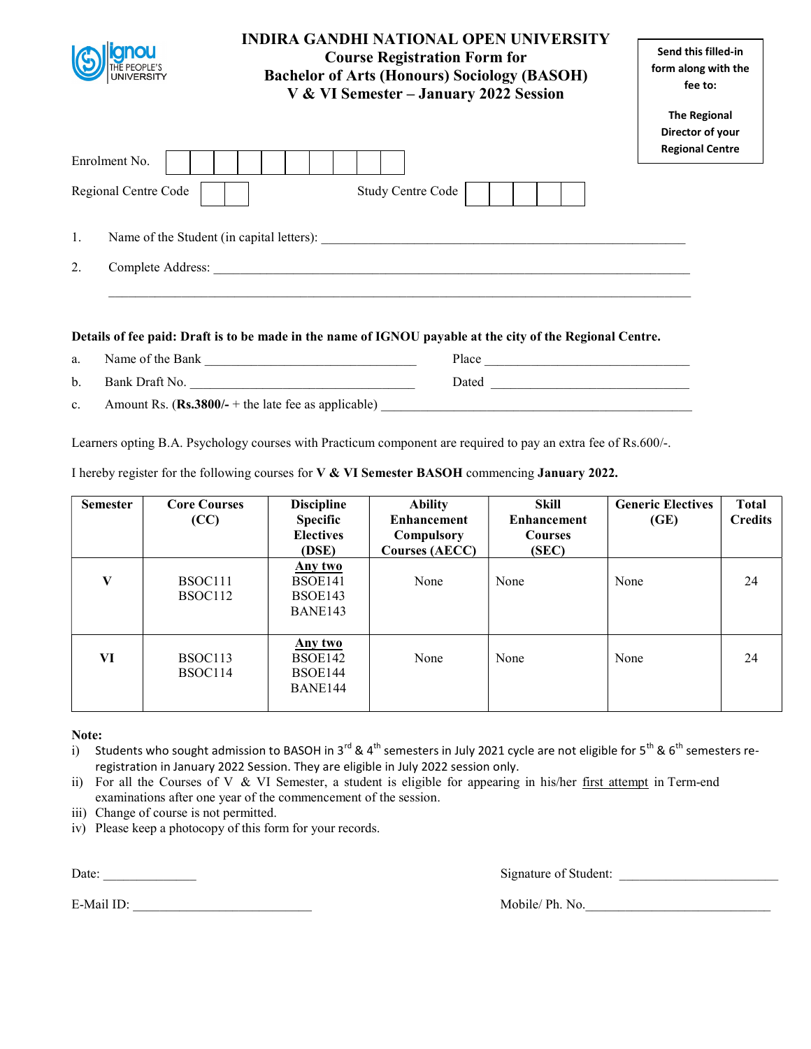|                         | <b>INDIRA GANDHI NATIONAL OPEN UNIVERSITY</b><br><b>Course Registration Form for</b><br><b>Bachelor of Arts (Honours) Sociology (BASOH)</b><br>V & VI Semester - January 2022 Session | Send this filled-in<br>form along with the<br>fee to: |
|-------------------------|---------------------------------------------------------------------------------------------------------------------------------------------------------------------------------------|-------------------------------------------------------|
|                         |                                                                                                                                                                                       | <b>The Regional</b><br>Director of your               |
| Enrolment No.           |                                                                                                                                                                                       | <b>Regional Centre</b>                                |
| Regional Centre Code    | Study Centre Code                                                                                                                                                                     |                                                       |
| 1.                      | Name of the Student (in capital letters):                                                                                                                                             |                                                       |
| 2.<br>Complete Address: |                                                                                                                                                                                       |                                                       |
|                         |                                                                                                                                                                                       |                                                       |

a. Name of the Bank \_\_\_\_\_\_\_\_\_\_\_\_\_\_\_\_\_\_\_\_\_\_\_\_\_\_\_\_\_\_\_\_ Place \_\_\_\_\_\_\_\_\_\_\_\_\_\_\_\_\_\_\_\_\_\_\_\_\_\_\_\_\_\_\_ b. Bank Draft No. \_\_\_\_\_\_\_\_\_\_\_\_\_\_\_\_\_\_\_\_\_\_\_\_\_\_\_\_\_\_\_\_\_\_ Dated \_\_\_\_\_\_\_\_\_\_\_\_\_\_\_\_\_\_\_\_\_\_\_\_\_\_\_\_\_\_ c. Amount Rs.  $(Rs.3800/- +$  the late fee as applicable)

Learners opting B.A. Psychology courses with Practicum component are required to pay an extra fee of Rs.600/-.

|  |  | I hereby register for the following courses for V & VI Semester BASOH commencing January 2022. |
|--|--|------------------------------------------------------------------------------------------------|
|--|--|------------------------------------------------------------------------------------------------|

| <b>Semester</b> | <b>Core Courses</b><br>(CC) | <b>Discipline</b><br><b>Specific</b><br><b>Electives</b><br>(DSE) | <b>Ability</b><br><b>Enhancement</b><br>Compulsory<br><b>Courses (AECC)</b> | Skill<br><b>Enhancement</b><br><b>Courses</b><br>(SEC) | <b>Generic Electives</b><br>(GE) | <b>Total</b><br><b>Credits</b> |
|-----------------|-----------------------------|-------------------------------------------------------------------|-----------------------------------------------------------------------------|--------------------------------------------------------|----------------------------------|--------------------------------|
| V               | BSOC111<br>BSOC112          | Any two<br>BSOE141<br>BSOE143<br>BANE143                          | None                                                                        | None                                                   | None                             | 24                             |
| VI              | BSOC113<br>BSOC114          | Any two<br>BSOE142<br>BSOE144<br>BANE144                          | None                                                                        | None                                                   | None                             | 24                             |

Note:

i) Students who sought admission to BASOH in 3<sup>rd</sup> & 4<sup>th</sup> semesters in July 2021 cycle are not eligible for 5<sup>th</sup> & 6<sup>th</sup> semesters reregistration in January 2022 Session. They are eligible in July 2022 session only.

ii) For all the Courses of V & VI Semester, a student is eligible for appearing in his/her first attempt in Term-end examinations after one year of the commencement of the session.

iii) Change of course is not permitted.

iv) Please keep a photocopy of this form for your records.

E-Mail ID: The Mobile/ Ph. No.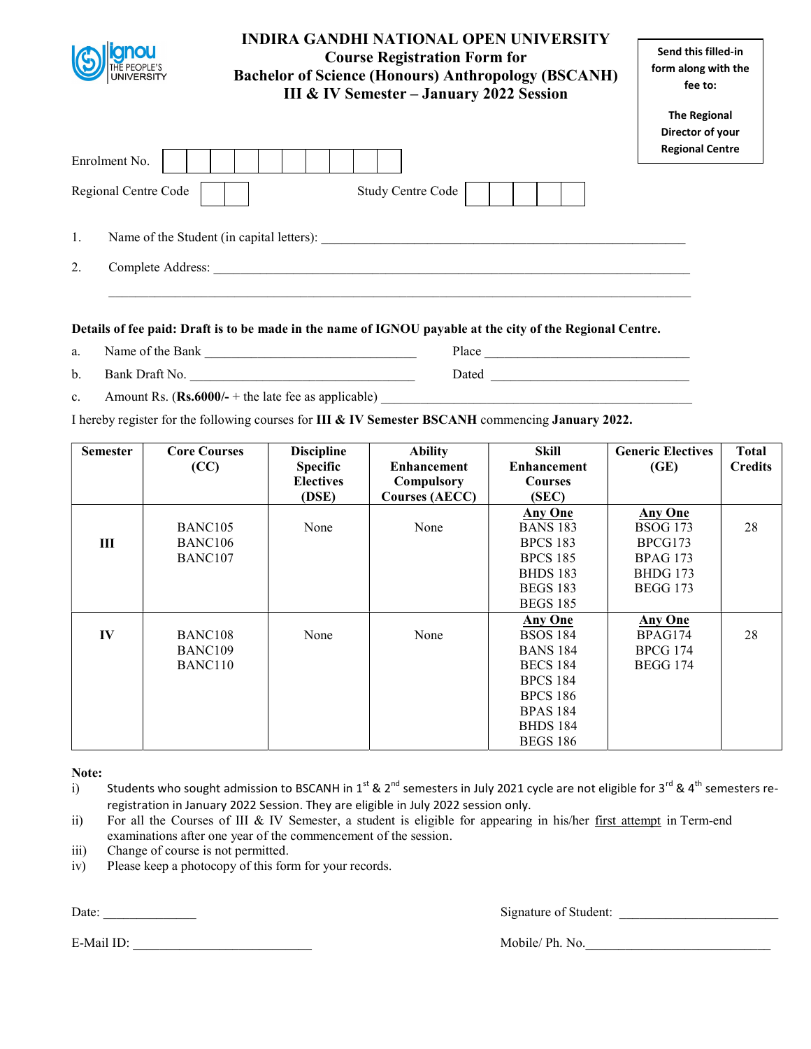|                                                 | INDIRA GANDHI NATIONAL OPEN UNIVERSITY<br><b>Course Registration Form for</b><br><b>Bachelor of Science (Honours) Anthropology (BSCANH)</b><br><b>III &amp; IV Semester - January 2022 Session</b> | Send this filled-in<br>form along with the<br>fee to:             |
|-------------------------------------------------|----------------------------------------------------------------------------------------------------------------------------------------------------------------------------------------------------|-------------------------------------------------------------------|
| Enrolment No.                                   |                                                                                                                                                                                                    | <b>The Regional</b><br>Director of your<br><b>Regional Centre</b> |
| Regional Centre Code                            | <b>Study Centre Code</b>                                                                                                                                                                           |                                                                   |
| 1.<br>Name of the Student (in capital letters): |                                                                                                                                                                                                    |                                                                   |
| 2.<br>Complete Address:                         |                                                                                                                                                                                                    |                                                                   |

- a. Name of the Bank  $\qquad \qquad$  Place  $\qquad \qquad$  Place  $\qquad \qquad$
- b. Bank Draft No. \_\_\_\_\_\_\_\_\_\_\_\_\_\_\_\_\_\_\_\_\_\_\_\_\_\_\_\_\_\_\_\_\_\_ Dated \_\_\_\_\_\_\_\_\_\_\_\_\_\_\_\_\_\_\_\_\_\_\_\_\_\_\_\_\_\_
- c. Amount Rs.  $(Rs.6000/- +$  the late fee as applicable)

I hereby register for the following courses for III & IV Semester BSCANH commencing January 2022.

| <b>Semester</b> | <b>Core Courses</b> | <b>Discipline</b> | <b>Ability</b>        | Skill              | <b>Generic Electives</b> | Total          |
|-----------------|---------------------|-------------------|-----------------------|--------------------|--------------------------|----------------|
|                 | (CC)                | <b>Specific</b>   | <b>Enhancement</b>    | <b>Enhancement</b> | (GE)                     | <b>Credits</b> |
|                 |                     | <b>Electives</b>  | Compulsory            | <b>Courses</b>     |                          |                |
|                 |                     | (DSE)             | <b>Courses (AECC)</b> | (SEC)              |                          |                |
|                 |                     |                   |                       | <b>Any One</b>     | <b>Any One</b>           |                |
|                 | BANC <sub>105</sub> | None              | None                  | <b>BANS 183</b>    | <b>BSOG 173</b>          | 28             |
| Ш               | BANC <sub>106</sub> |                   |                       | <b>BPCS 183</b>    | BPCG173                  |                |
|                 | BANC107             |                   |                       | <b>BPCS 185</b>    | <b>BPAG 173</b>          |                |
|                 |                     |                   |                       | <b>BHDS 183</b>    | <b>BHDG</b> 173          |                |
|                 |                     |                   |                       | <b>BEGS 183</b>    | <b>BEGG 173</b>          |                |
|                 |                     |                   |                       | <b>BEGS 185</b>    |                          |                |
|                 |                     |                   |                       | <b>Any One</b>     | <b>Any One</b>           |                |
| IV              | BANC <sub>108</sub> | None              | None                  | <b>BSOS 184</b>    | BPAG174                  | 28             |
|                 | BANC109             |                   |                       | <b>BANS 184</b>    | <b>BPCG 174</b>          |                |
|                 | BANC <sub>110</sub> |                   |                       | <b>BECS 184</b>    | <b>BEGG 174</b>          |                |
|                 |                     |                   |                       | <b>BPCS 184</b>    |                          |                |
|                 |                     |                   |                       | <b>BPCS 186</b>    |                          |                |
|                 |                     |                   |                       | <b>BPAS 184</b>    |                          |                |
|                 |                     |                   |                       | <b>BHDS 184</b>    |                          |                |
|                 |                     |                   |                       | <b>BEGS 186</b>    |                          |                |

Note:

- i) Students who sought admission to BSCANH in 1st & 2<sup>nd</sup> semesters in July 2021 cycle are not eligible for 3<sup>rd</sup> & 4<sup>th</sup> semesters reregistration in January 2022 Session. They are eligible in July 2022 session only.
- ii) For all the Courses of III & IV Semester, a student is eligible for appearing in his/her first attempt in Term-end examinations after one year of the commencement of the session.
- iii) Change of course is not permitted.
- iv) Please keep a photocopy of this form for your records.

E-Mail ID: Mobile/ Ph. No.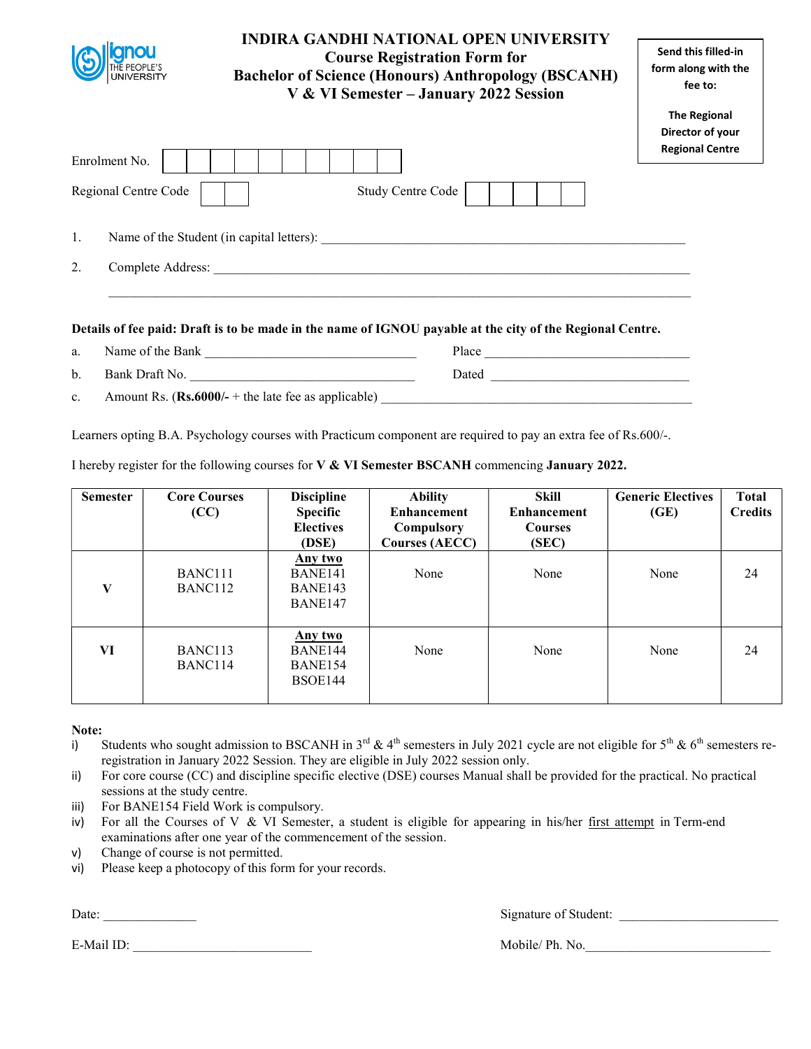| <b>UNIVERSITY</b>       | <b>INDIRA GANDHI NATIONAL OPEN UNIVERSITY</b><br><b>Course Registration Form for</b><br><b>Bachelor of Science (Honours) Anthropology (BSCANH)</b><br>V & VI Semester - January 2022 Session | Send this filled-in<br>form along with the<br>fee to:             |
|-------------------------|----------------------------------------------------------------------------------------------------------------------------------------------------------------------------------------------|-------------------------------------------------------------------|
| Enrolment No.           |                                                                                                                                                                                              | <b>The Regional</b><br>Director of your<br><b>Regional Centre</b> |
| Regional Centre Code    | Study Centre Code                                                                                                                                                                            |                                                                   |
| 1.                      | Name of the Student (in capital letters):                                                                                                                                                    |                                                                   |
| 2.<br>Complete Address: |                                                                                                                                                                                              |                                                                   |
|                         | Details of fee paid: Draft is to be made in the name of IGNOU payable at the city of the Regional Centre.                                                                                    |                                                                   |

a. Name of the Bank  $\frac{1}{\sqrt{1-\frac{1}{2}}\sqrt{1-\frac{1}{2}}\sqrt{1-\frac{1}{2}}\sqrt{1-\frac{1}{2}}\sqrt{1-\frac{1}{2}}\sqrt{1-\frac{1}{2}}\sqrt{1-\frac{1}{2}}\sqrt{1-\frac{1}{2}}\sqrt{1-\frac{1}{2}}\sqrt{1-\frac{1}{2}}\sqrt{1-\frac{1}{2}}\sqrt{1-\frac{1}{2}}\sqrt{1-\frac{1}{2}}\sqrt{1-\frac{1}{2}}\sqrt{1-\frac{1}{2}}\sqrt{1-\frac{1}{2}}\sqrt{1-\frac{1}{2}}\sqrt{1-\frac{1$ b. Bank Draft No. \_\_\_\_\_\_\_\_\_\_\_\_\_\_\_\_\_\_\_\_\_\_\_\_\_\_\_\_\_\_\_\_\_\_ Dated \_\_\_\_\_\_\_\_\_\_\_\_\_\_\_\_\_\_\_\_\_\_\_\_\_\_\_\_\_\_

c. Amount Rs.  $(Rs.6000/- +$  the late fee as applicable)

Learners opting B.A. Psychology courses with Practicum component are required to pay an extra fee of Rs.600/-.

I hereby register for the following courses for V & VI Semester BSCANH commencing January 2022.

| <b>Semester</b> | <b>Core Courses</b><br>(CC)                | <b>Discipline</b><br><b>Specific</b><br><b>Electives</b><br>(DSE) | <b>Ability</b><br><b>Enhancement</b><br>Compulsory<br><b>Courses (AECC)</b> | Skill<br><b>Enhancement</b><br><b>Courses</b><br>(SEC) | <b>Generic Electives</b><br>(GE) | <b>Total</b><br><b>Credits</b> |
|-----------------|--------------------------------------------|-------------------------------------------------------------------|-----------------------------------------------------------------------------|--------------------------------------------------------|----------------------------------|--------------------------------|
| $\mathbf{V}$    | BANC <sub>111</sub><br>BANC <sub>112</sub> | Any two<br>BANE141<br>BANE143<br>BANE147                          | None                                                                        | None                                                   | None                             | 24                             |
| VI              | BANC <sub>113</sub><br>BANC114             | Any two<br>BANE144<br>BANE154<br>BSOE144                          | None                                                                        | None                                                   | None                             | 24                             |

Note:

- i) Students who sought admission to BSCANH in  $3^{rd}$  & 4<sup>th</sup> semesters in July 2021 cycle are not eligible for  $5^{th}$  &  $6^{th}$  semesters reregistration in January 2022 Session. They are eligible in July 2022 session only.
- ii) For core course (CC) and discipline specific elective (DSE) courses Manual shall be provided for the practical. No practical sessions at the study centre.
- iii) For BANE154 Field Work is compulsory.
- iv) For all the Courses of V & VI Semester, a student is eligible for appearing in his/her first attempt in Term-end examinations after one year of the commencement of the session.
- v) Change of course is not permitted.
- vi) Please keep a photocopy of this form for your records.

E-Mail ID: \_\_\_\_\_\_\_\_\_\_\_\_\_\_\_\_\_\_\_\_\_\_\_\_\_\_\_ Mobile/ Ph. No.\_\_\_\_\_\_\_\_\_\_\_\_\_\_\_\_\_\_\_\_\_\_\_\_\_\_\_\_

Date: Signature of Student: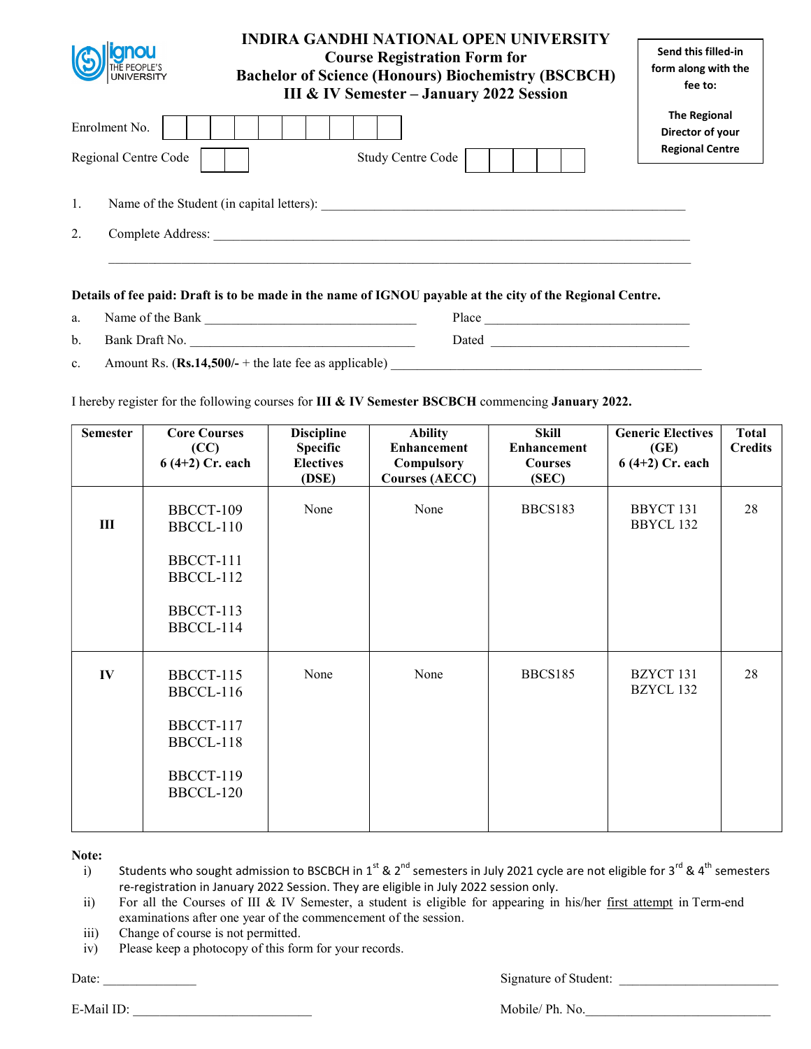|    | <b>UNIVERSITY</b>                     | INDIRA GANDHI NATIONAL OPEN UNIVERSITY<br><b>Course Registration Form for</b><br><b>Bachelor of Science (Honours) Biochemistry (BSCBCH)</b><br><b>III &amp; IV Semester - January 2022 Session</b> | Send this filled-in<br>form along with the<br>fee to:             |
|----|---------------------------------------|----------------------------------------------------------------------------------------------------------------------------------------------------------------------------------------------------|-------------------------------------------------------------------|
|    | Enrolment No.<br>Regional Centre Code | <b>Study Centre Code</b>                                                                                                                                                                           | <b>The Regional</b><br>Director of your<br><b>Regional Centre</b> |
| 1. |                                       | Name of the Student (in capital letters):                                                                                                                                                          |                                                                   |
| 2. | Complete Address:                     |                                                                                                                                                                                                    |                                                                   |
|    |                                       |                                                                                                                                                                                                    |                                                                   |

| a.          | Name of the Bank                                        | Place |
|-------------|---------------------------------------------------------|-------|
| b.          | Bank Draft No.                                          | Dated |
| $c_{\cdot}$ | Amount Rs. $(Rs.14,500/- +$ the late fee as applicable) |       |

I hereby register for the following courses for III & IV Semester BSCBCH commencing January 2022.

| <b>Semester</b> | <b>Core Courses</b><br>(CC)<br>$6(4+2)$ Cr. each | <b>Discipline</b><br><b>Specific</b><br><b>Electives</b><br>(DSE) | <b>Ability</b><br><b>Enhancement</b><br>Compulsory<br><b>Courses (AECC)</b> | <b>Skill</b><br><b>Enhancement</b><br><b>Courses</b><br>(SEC) | <b>Generic Electives</b><br>(GE)<br>$6(4+2)$ Cr. each | <b>Total</b><br><b>Credits</b> |
|-----------------|--------------------------------------------------|-------------------------------------------------------------------|-----------------------------------------------------------------------------|---------------------------------------------------------------|-------------------------------------------------------|--------------------------------|
| III             | BBCCT-109<br>BBCCL-110                           | None                                                              | None                                                                        | BBCS183                                                       | BBYCT 131<br>BBYCL 132                                | 28                             |
|                 | BBCCT-111<br>BBCCL-112                           |                                                                   |                                                                             |                                                               |                                                       |                                |
|                 | BBCCT-113<br>BBCCL-114                           |                                                                   |                                                                             |                                                               |                                                       |                                |
| IV              | BBCCT-115<br>BBCCL-116                           | None                                                              | None                                                                        | <b>BBCS185</b>                                                | BZYCT 131<br>BZYCL 132                                | 28                             |
|                 | BBCCT-117<br>BBCCL-118                           |                                                                   |                                                                             |                                                               |                                                       |                                |
|                 | BBCCT-119<br>BBCCL-120                           |                                                                   |                                                                             |                                                               |                                                       |                                |

Note:

i) Students who sought admission to BSCBCH in 1<sup>st</sup> & 2<sup>nd</sup> semesters in July 2021 cycle are not eligible for 3<sup>rd</sup> & 4<sup>th</sup> semesters re-registration in January 2022 Session. They are eligible in July 2022 session only.

ii) For all the Courses of III & IV Semester, a student is eligible for appearing in his/her first attempt in Term-end examinations after one year of the commencement of the session.

iii) Change of course is not permitted.

iv) Please keep a photocopy of this form for your records.

Date: \_\_\_\_\_\_\_\_\_\_\_\_\_\_ Signature of Student: \_\_\_\_\_\_\_\_\_\_\_\_\_\_\_\_\_\_\_\_\_\_\_\_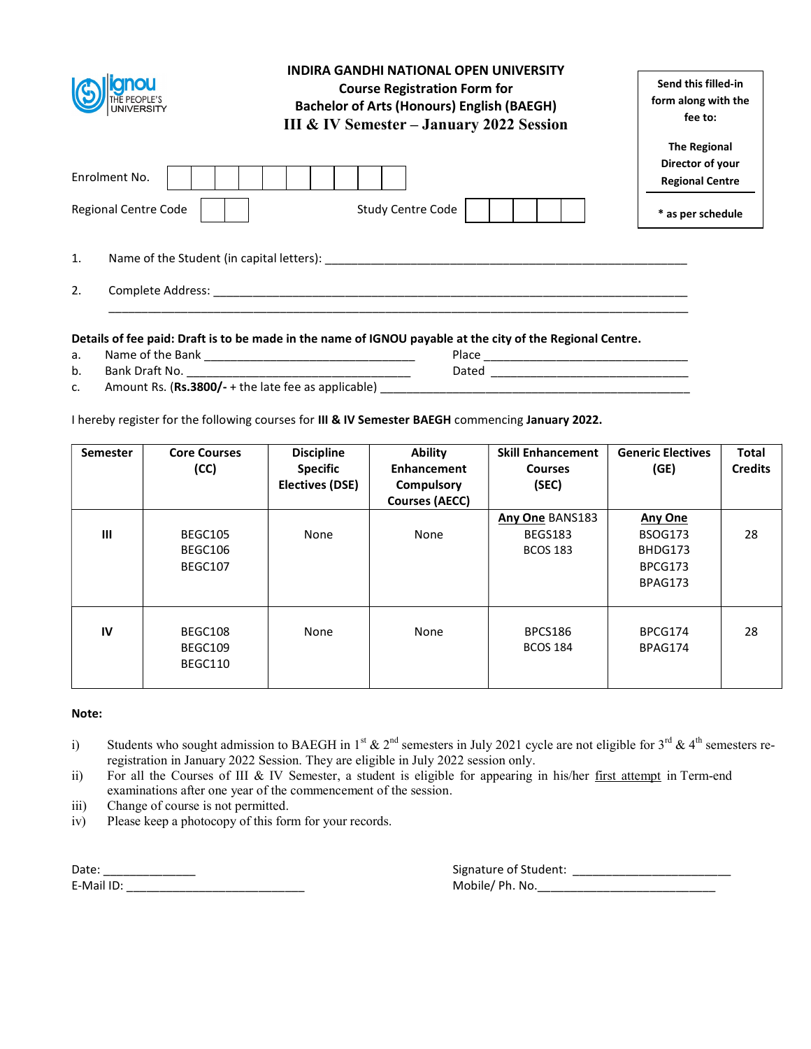| <b>ITHE PEOPLE'S<br/>UNIVERSITY</b>                                        | <b>INDIRA GANDHI NATIONAL OPEN UNIVERSITY</b><br><b>Course Registration Form for</b><br><b>Bachelor of Arts (Honours) English (BAEGH)</b><br>III & IV Semester - January 2022 Session | Send this filled-in<br>form along with the<br>fee to:                                  |
|----------------------------------------------------------------------------|---------------------------------------------------------------------------------------------------------------------------------------------------------------------------------------|----------------------------------------------------------------------------------------|
| Enrolment No.<br><b>Regional Centre Code</b>                               | <b>Study Centre Code</b>                                                                                                                                                              | <b>The Regional</b><br>Director of your<br><b>Regional Centre</b><br>* as per schedule |
| 1.<br>Name of the Student (in capital letters):<br>2.<br>Complete Address: |                                                                                                                                                                                       |                                                                                        |

- a. Name of the Bank \_\_\_\_\_\_\_\_\_\_\_\_\_\_\_\_\_\_\_\_\_\_\_\_\_\_\_\_\_\_\_\_ Place \_\_\_\_\_\_\_\_\_\_\_\_\_\_\_\_\_\_\_\_\_\_\_\_\_\_\_\_\_\_\_
- b. Bank Draft No. \_\_\_\_\_\_\_\_\_\_\_\_\_\_\_\_\_\_\_\_\_\_\_\_\_\_\_\_\_\_\_\_\_\_ Dated \_\_\_\_\_\_\_\_\_\_\_\_\_\_\_\_\_\_\_\_\_\_\_\_\_\_\_\_\_\_
- c. Amount Rs. (Rs.3800/- + the late fee as applicable) \_\_\_\_\_\_\_\_\_\_\_\_\_\_\_\_\_\_\_\_\_\_\_\_\_\_\_\_\_\_\_\_\_\_\_\_\_\_\_\_\_\_\_\_\_\_\_

I hereby register for the following courses for III & IV Semester BAEGH commencing January 2022.

| <b>Semester</b> | <b>Core Courses</b><br>(CC)   | <b>Discipline</b><br><b>Specific</b><br>Electives (DSE) | <b>Ability</b><br>Enhancement<br>Compulsory<br><b>Courses (AECC)</b> | <b>Skill Enhancement</b><br><b>Courses</b><br>(SEC)  | <b>Generic Electives</b><br>(GE)                                  | <b>Total</b><br><b>Credits</b> |
|-----------------|-------------------------------|---------------------------------------------------------|----------------------------------------------------------------------|------------------------------------------------------|-------------------------------------------------------------------|--------------------------------|
| $\mathbf{III}$  | BEGC105<br>BEGC106<br>BEGC107 | None                                                    | None                                                                 | Any One BANS183<br><b>BEGS183</b><br><b>BCOS 183</b> | <b>Any One</b><br><b>BSOG173</b><br>BHDG173<br>BPCG173<br>BPAG173 | 28                             |
| IV              | BEGC108<br>BEGC109<br>BEGC110 | None                                                    | None                                                                 | <b>BPCS186</b><br><b>BCOS 184</b>                    | BPCG174<br>BPAG174                                                | 28                             |

#### Note:

- i) Students who sought admission to BAEGH in 1<sup>st</sup>  $\&$  2<sup>nd</sup> semesters in July 2021 cycle are not eligible for 3<sup>rd</sup>  $\&$  4<sup>th</sup> semesters reregistration in January 2022 Session. They are eligible in July 2022 session only.
- ii) For all the Courses of III & IV Semester, a student is eligible for appearing in his/her first attempt in Term-end examinations after one year of the commencement of the session.
- iii) Change of course is not permitted.
- iv) Please keep a photocopy of this form for your records.

| Date      | Signature of Student:  |
|-----------|------------------------|
| E-Mail ID | Mobile /<br>Ph<br>. No |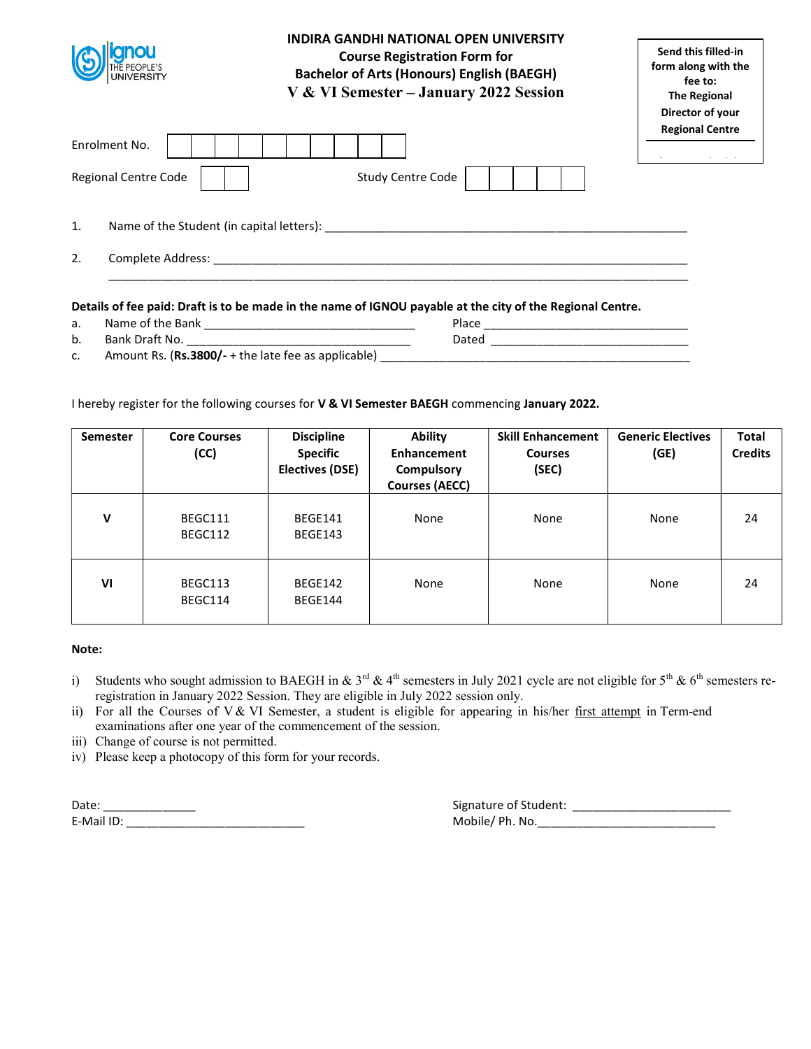| Enrolment No.<br><b>Regional Centre Code</b><br><b>Study Centre Code</b> | Send this filled-in<br>form along with the<br>Director of your |  |
|--------------------------------------------------------------------------|----------------------------------------------------------------|--|
|                                                                          | <b>Regional Centre</b><br>$\sim$ $\sim$                        |  |
| 1.<br>Name of the Student (in capital letters):                          |                                                                |  |
| 2.<br>Complete Address:                                                  |                                                                |  |

- a. Name of the Bank \_\_\_\_\_\_\_\_\_\_\_\_\_\_\_\_\_\_\_\_\_\_\_\_\_\_\_\_\_\_\_\_ Place \_\_\_\_\_\_\_\_\_\_\_\_\_\_\_\_\_\_\_\_\_\_\_\_\_\_\_\_\_\_\_
- b. Bank Draft No. \_\_\_\_\_\_\_\_\_\_\_\_\_\_\_\_\_\_\_\_\_\_\_\_\_\_\_\_\_\_\_\_\_\_ Dated \_\_\_\_\_\_\_\_\_\_\_\_\_\_\_\_\_\_\_\_\_\_\_\_\_\_\_\_\_\_
- 
- c. Amount Rs. (Rs.3800/- + the late fee as applicable) \_\_\_\_\_\_\_\_\_\_\_\_\_\_\_\_\_\_\_\_\_\_\_\_\_\_\_\_\_\_\_\_\_\_\_\_\_\_\_\_\_\_\_\_\_\_\_

# I hereby register for the following courses for V & VI Semester BAEGH commencing January 2022.

| <b>Semester</b> | <b>Core Courses</b><br>(CC) | <b>Discipline</b><br><b>Specific</b><br><b>Electives (DSE)</b> | <b>Ability</b><br><b>Enhancement</b><br>Compulsory<br><b>Courses (AECC)</b> | <b>Skill Enhancement</b><br><b>Courses</b><br>(SEC) | <b>Generic Electives</b><br>(GE) | <b>Total</b><br><b>Credits</b> |
|-----------------|-----------------------------|----------------------------------------------------------------|-----------------------------------------------------------------------------|-----------------------------------------------------|----------------------------------|--------------------------------|
| $\mathbf v$     | BEGC111<br>BEGC112          | BEGE141<br>BEGE143                                             | None                                                                        | None                                                | None                             | 24                             |
| VI              | BEGC113<br>BEGC114          | BEGE142<br>BEGE144                                             | None                                                                        | None                                                | None                             | 24                             |

#### Note:

- i) Students who sought admission to BAEGH in & 3<sup>rd</sup> & 4<sup>th</sup> semesters in July 2021 cycle are not eligible for 5<sup>th</sup> & 6<sup>th</sup> semesters reregistration in January 2022 Session. They are eligible in July 2022 session only.
- ii) For all the Courses of V & VI Semester, a student is eligible for appearing in his/her first attempt in Term-end examinations after one year of the commencement of the session.
- iii) Change of course is not permitted.
- iv) Please keep a photocopy of this form for your records.

| Date       | Signature of Student: |
|------------|-----------------------|
| E-Mail ID: | Mobile/ Ph. No.       |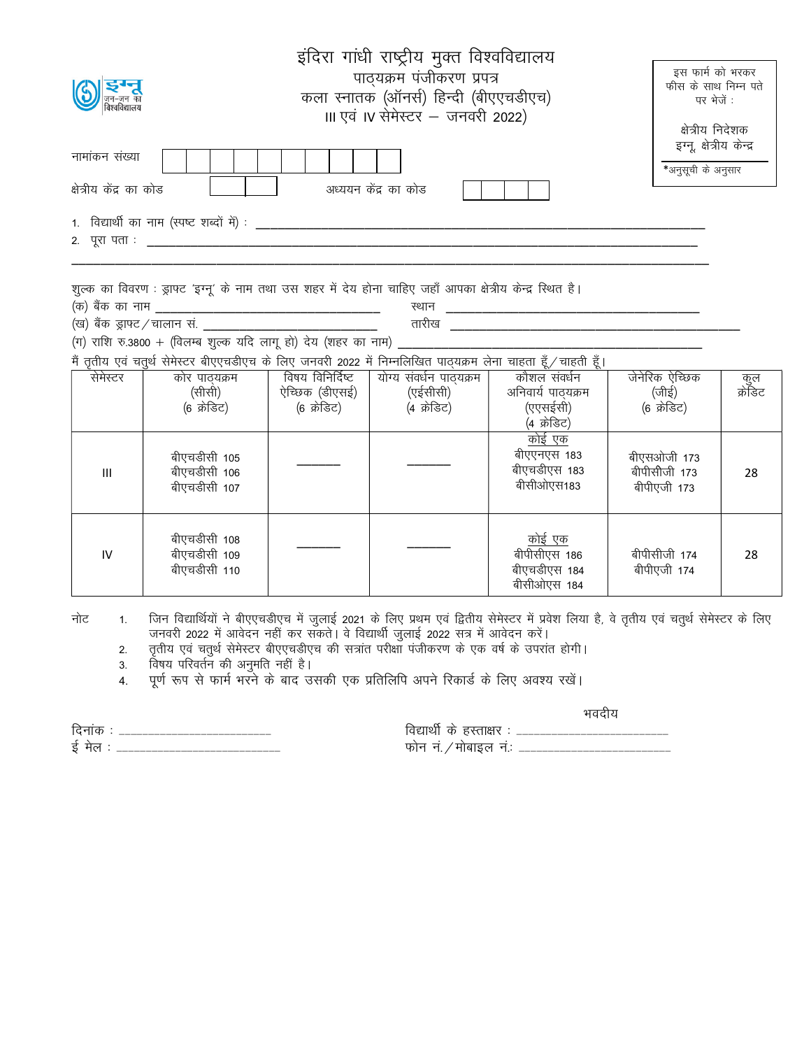| इंदिरा गांधी राष्ट्रीय मुक्त विश्वविद्यालय<br>पाद्यक्रम पंजीकरण प्रपत्र<br>कला स्नातक (ऑनर्स) हिन्दी (बीएएचडीएच)<br>III एवं IV सेमेस्टर – जनवरी 2022) | इस फार्म को भरकर<br>फीस के साथ निम्न पते<br>पर भेजें :<br>क्षेत्रीय निदेशक |
|-------------------------------------------------------------------------------------------------------------------------------------------------------|----------------------------------------------------------------------------|
| नामांकन संख्या<br>अध्ययन केंद्र का कोड<br>क्षेत्रीय केंद्र का कोड                                                                                     | इग्नू, क्षेत्रीय केन्द्र<br>*अनुसूची के अनुसार                             |
| 1. विद्यार्थी का नाम (स्पष्ट शब्दों में) :<br>2. पूरा पता :                                                                                           |                                                                            |

'kqYd dk fooj.k % Mªk¶V ^bXuw^ ds uke rFkk ml 'kgj esa ns; gksuk pkfg, tgk¡ vkidk {ks=h; dsUnz fLFkr gSA

¼d½ cSad dk uke \_\_\_\_\_\_\_\_\_\_\_\_\_\_\_\_\_\_\_\_\_\_\_\_\_\_\_\_\_\_\_ LFkku \_\_\_\_\_\_\_\_\_\_\_\_\_\_\_\_\_\_\_\_\_\_\_\_\_\_\_\_\_\_\_\_\_\_\_

¼[k½ cSad Mªk¶V@pkyku la- \_\_\_\_\_\_\_\_\_\_\_\_\_\_\_\_\_\_\_\_\_\_\_\_ rkjh[k \_\_\_\_\_\_\_\_\_\_\_\_\_\_\_\_\_\_\_\_\_\_\_\_\_\_\_\_\_\_\_\_\_\_\_\_\_\_\_\_ (ग) राशि रु.3800 + (विलम्ब शुल्क यदि लागू हो) देय (शहर का नाम)

मैं ततीय एवं चतर्थ सेमेस्टर बीएएचडीएच के लिए जनवरी 2022 में निम्नलिखित पातयक्रम लेना चाहता हँ ⁄ चाहती हैं।

|          |                                              |                  | $\lambda_{\rm min}$ , $\lambda_{\rm i}$ , $\lambda_{\rm i}$ , $\lambda_{\rm i}$ , $\lambda_{\rm i}$ , $\lambda_{\rm i}$ , $\lambda_{\rm i}$ , $\lambda_{\rm i}$ , $\lambda_{\rm i}$ , $\lambda_{\rm i}$ , $\lambda_{\rm i}$ , $\lambda_{\rm i}$ , $\lambda_{\rm i}$ , $\lambda_{\rm i}$ , $\lambda_{\rm i}$ , $\lambda_{\rm i}$ , $\lambda_{\rm i}$ , $\lambda_{\rm i}$ , $\lambda_{\$ |                                                              |                                            |                |
|----------|----------------------------------------------|------------------|----------------------------------------------------------------------------------------------------------------------------------------------------------------------------------------------------------------------------------------------------------------------------------------------------------------------------------------------------------------------------------------|--------------------------------------------------------------|--------------------------------------------|----------------|
| सेमेस्टर | कोर पाठ्यक्रम                                | विषय विनिर्दिष्ट | योग्य संवर्धन पाठ्यक्रम                                                                                                                                                                                                                                                                                                                                                                | कौशल संवर्धन                                                 | जेनेरिक ऐच्छिक                             |                |
|          | (सीसी)                                       | ऐच्छिक (डीएसई)   | (एईसीसी)                                                                                                                                                                                                                                                                                                                                                                               | अनिवार्य पाठ्यक्रम                                           | (जीई)                                      | कुल<br>क्रेडिट |
|          | (6 क्रेडिट)                                  | (6 क्रेडिट)      | (4 क्रेडिट)                                                                                                                                                                                                                                                                                                                                                                            | (एएसईसी)                                                     | (6 क्रेडिट)                                |                |
|          |                                              |                  |                                                                                                                                                                                                                                                                                                                                                                                        | (4 क्रेडिट)                                                  |                                            |                |
| III      | बीएचडीसी 105<br>बीएचडीसी 106<br>बीएचडीसी 107 |                  |                                                                                                                                                                                                                                                                                                                                                                                        | <u>कोई एक</u><br>बीएएनएस 183<br>बीएचडीएस 183<br>बीसीओएस183   | बीएसओजी 173<br>बीपीसीजी 173<br>बीपीएजी 173 | 28             |
| IV       | बीएचडीसी 108<br>बीएचडीसी 109<br>बीएचडीसी 110 |                  |                                                                                                                                                                                                                                                                                                                                                                                        | <u>कोई एक</u><br>बीपीसीएस 186<br>बीएचडीएस 184<br>बीसीओएस 184 | बीपीसीजी 174<br>बीपीएजी 174                | 28             |

नोट 1. जिन विद्यार्थियों ने बीएएचडीएच में जुलाई 2021 के लिए प्रथम एवं द्वितीय सेमेस्टर में प्रवेश लिया है, वे तृतीय एवं चतुर्थ सेमेस्टर के लिए जनवरी 2022 में आवेदन नहीं कर सकते। वे विद्यार्थी जुलाई 2022 सत्र में आवेदन करें।

2. व्हतीय एवं चतुर्थ सेमेस्टर बीएएचडीएच की सत्रांत परीक्षा पंजीकरण के एक वर्ष के उपरांत होगी।

3. विषय परिवर्तन की अनुमति नहीं है।

4. पूर्ण रूप से फार्म भरने के बाद उसकी एक प्रतिलिपि अपने रिकार्ड के लिए अवश्य रखें।

भवदीय

fnukad % &&&&&&&&&&&&&&&&&&&&&&&&&& fo|kFkhZ ds gLrk{kj % &&&&&&&&&&&&&&&&&&&&&&&&&& bZ esy % &&&&&&&&&&&&&&&&&&&&&&&&&&&& Qksu ua-@eksckby ua-% &&&&&&&&&&&&&&&&&&&&&&&&&&